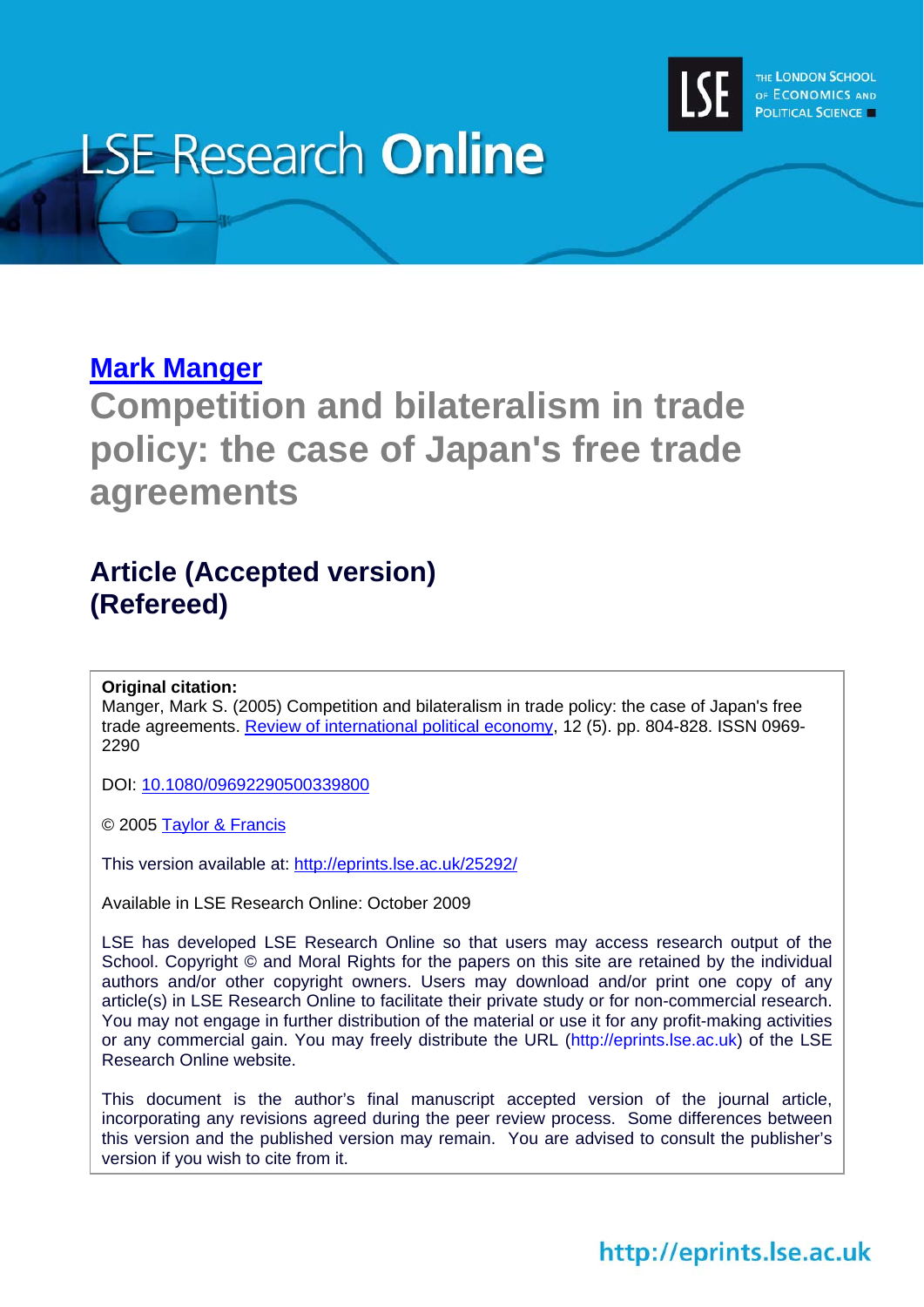

# **LSE Research Online**

# **[Mark Manger](http://www2.lse.ac.uk/researchAndExpertise/Experts/profile.aspx?KeyValue=m.s.manger@lse.ac.uk)**

**Competition and bilateralism in trade policy: the case of Japan's free trade agreements** 

# **Article (Accepted version) (Refereed)**

# **Original citation:**

Manger, Mark S. (2005) Competition and bilateralism in trade policy: the case of Japan's free trade agreements. [Review of international political economy,](http://www.tandf.co.uk/journals/titles/09692290.asp) 12 (5). pp. 804-828. ISSN 0969- 2290

DOI: [10.1080/09692290500339800](http://dx.doi.org/10.1080/09692290500339800)

© 2005 [Taylor & Francis](http://www.taylorandfrancisgroup.com/)

This version available at: <http://eprints.lse.ac.uk/25292/>

Available in LSE Research Online: October 2009

LSE has developed LSE Research Online so that users may access research output of the School. Copyright © and Moral Rights for the papers on this site are retained by the individual authors and/or other copyright owners. Users may download and/or print one copy of any article(s) in LSE Research Online to facilitate their private study or for non-commercial research. You may not engage in further distribution of the material or use it for any profit-making activities or any commercial gain. You may freely distribute the URL (http://eprints.lse.ac.uk) of the LSE Research Online website.

This document is the author's final manuscript accepted version of the journal article, incorporating any revisions agreed during the peer review process. Some differences between this version and the published version may remain. You are advised to consult the publisher's version if you wish to cite from it.

# http://eprints.lse.ac.uk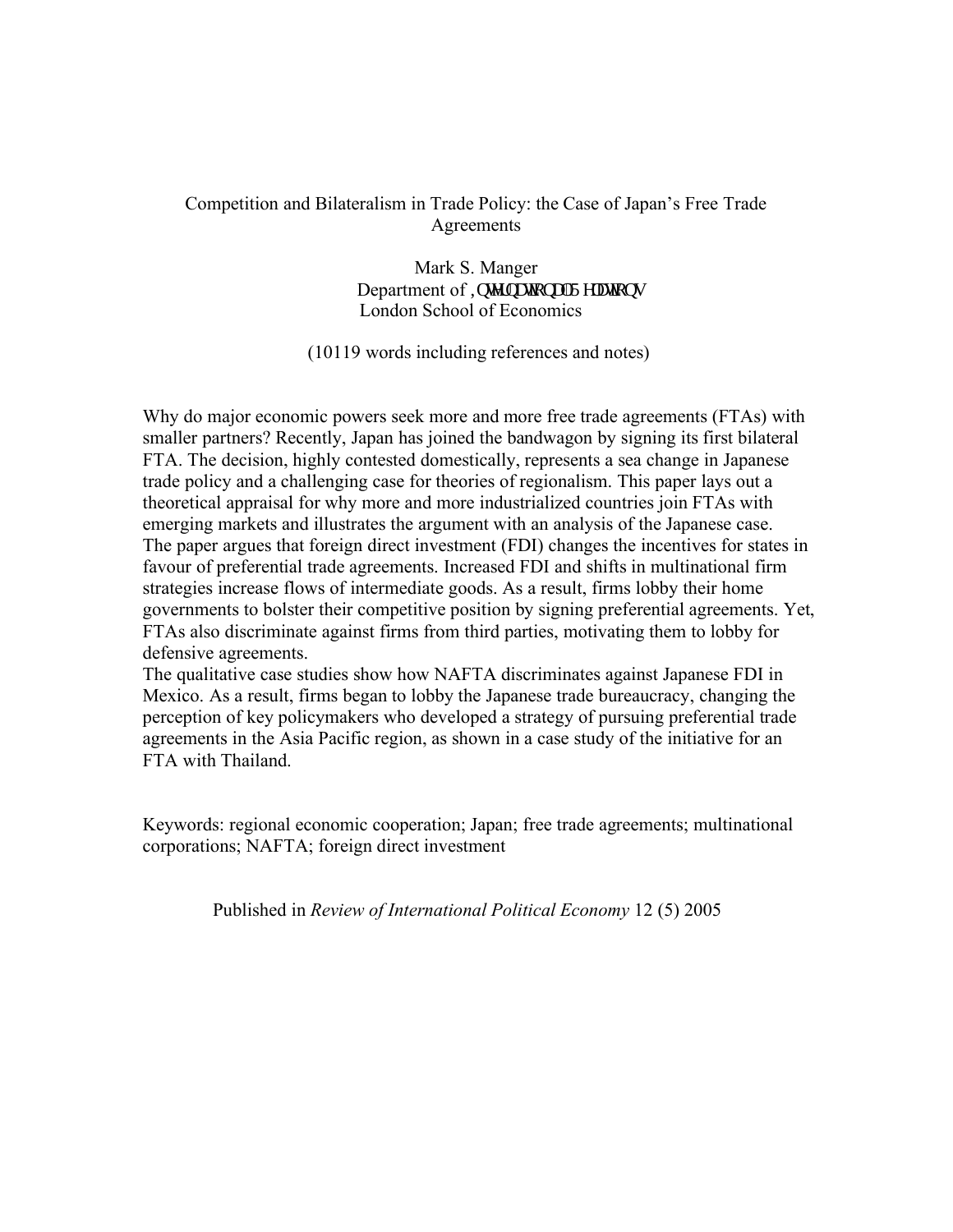## Competition and Bilateralism in Trade Policy: the Case of Japan's Free Trade Agreements

Mark S. Manger Department of Kovgtpc kqpcnT grc kqpu London School of Economics

(10119 words including references and notes)

Why do major economic powers seek more and more free trade agreements (FTAs) with smaller partners? Recently, Japan has joined the bandwagon by signing its first bilateral FTA. The decision, highly contested domestically, represents a sea change in Japanese trade policy and a challenging case for theories of regionalism. This paper lays out a theoretical appraisal for why more and more industrialized countries join FTAs with emerging markets and illustrates the argument with an analysis of the Japanese case. The paper argues that foreign direct investment (FDI) changes the incentives for states in favour of preferential trade agreements. Increased FDI and shifts in multinational firm strategies increase flows of intermediate goods. As a result, firms lobby their home governments to bolster their competitive position by signing preferential agreements. Yet, FTAs also discriminate against firms from third parties, motivating them to lobby for defensive agreements.

The qualitative case studies show how NAFTA discriminates against Japanese FDI in Mexico. As a result, firms began to lobby the Japanese trade bureaucracy, changing the perception of key policymakers who developed a strategy of pursuing preferential trade agreements in the Asia Pacific region, as shown in a case study of the initiative for an FTA with Thailand.

Keywords: regional economic cooperation; Japan; free trade agreements; multinational corporations; NAFTA; foreign direct investment

Published in *Review of International Political Economy* 12 (5) 2005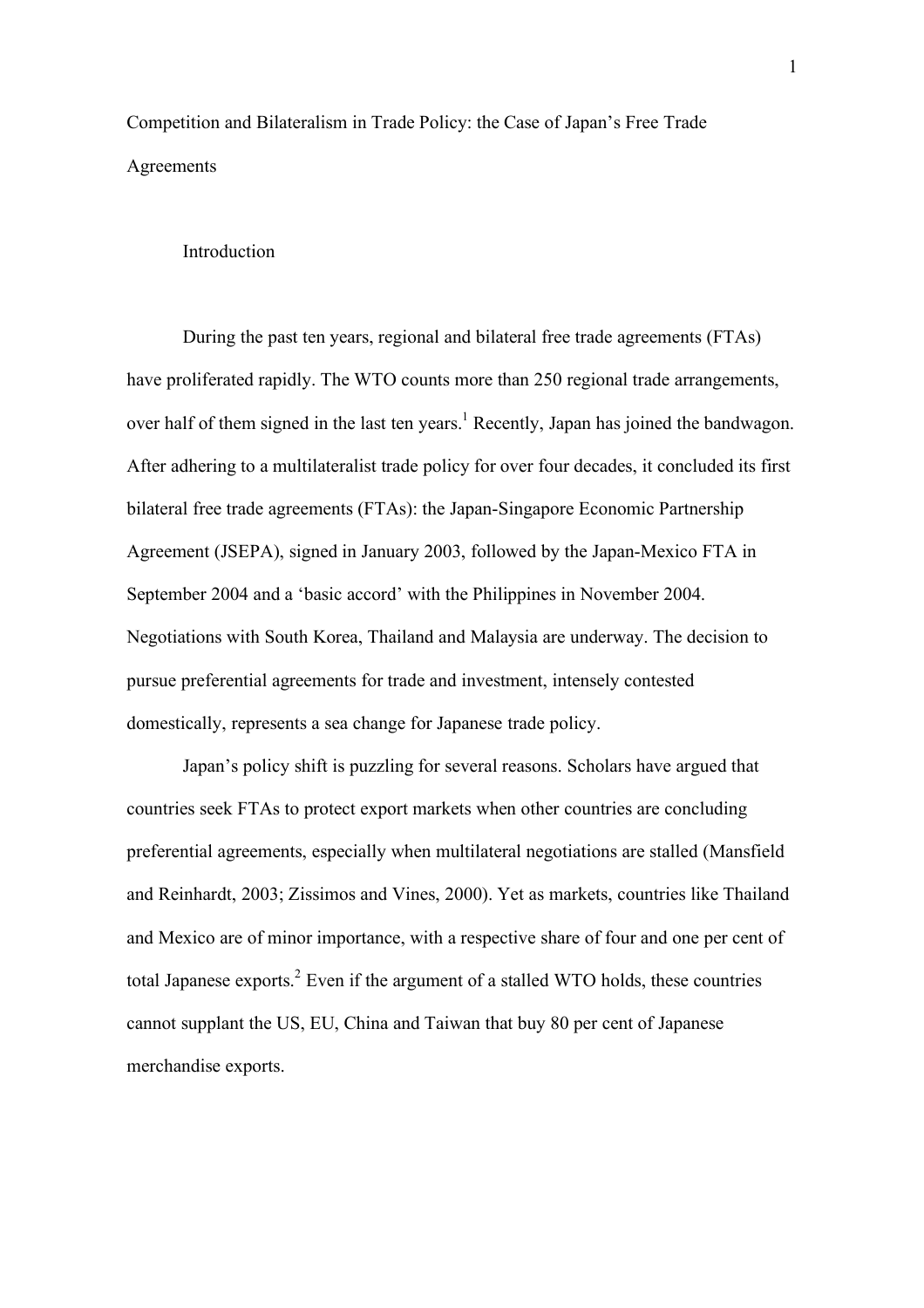Competition and Bilateralism in Trade Policy: the Case of Japan's Free Trade Agreements

### Introduction

During the past ten years, regional and bilateral free trade agreements (FTAs) have proliferated rapidly. The WTO counts more than 250 regional trade arrangements, over half of them signed in the last ten years.<sup>1</sup> Recently, Japan has joined the bandwagon. After adhering to a multilateralist trade policy for over four decades, it concluded its first bilateral free trade agreements (FTAs): the Japan-Singapore Economic Partnership Agreement (JSEPA), signed in January 2003, followed by the Japan-Mexico FTA in September 2004 and a 'basic accord' with the Philippines in November 2004. Negotiations with South Korea, Thailand and Malaysia are underway. The decision to pursue preferential agreements for trade and investment, intensely contested domestically, represents a sea change for Japanese trade policy.

Japan's policy shift is puzzling for several reasons. Scholars have argued that countries seek FTAs to protect export markets when other countries are concluding preferential agreements, especially when multilateral negotiations are stalled (Mansfield and Reinhardt, 2003; Zissimos and Vines, 2000). Yet as markets, countries like Thailand and Mexico are of minor importance, with a respective share of four and one per cent of total Japanese exports.<sup>2</sup> Even if the argument of a stalled WTO holds, these countries cannot supplant the US, EU, China and Taiwan that buy 80 per cent of Japanese merchandise exports.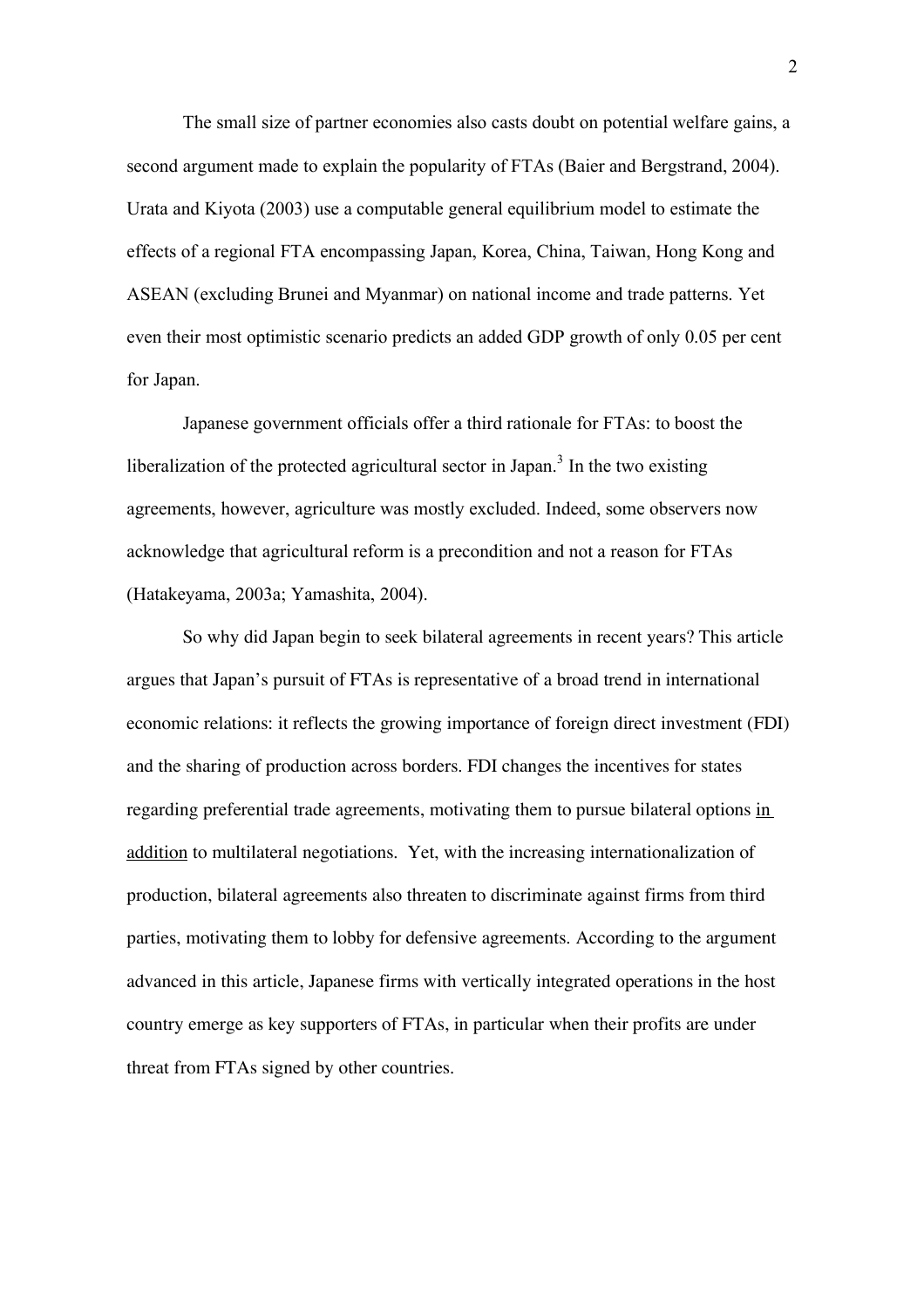The small size of partner economies also casts doubt on potential welfare gains, a second argument made to explain the popularity of FTAs (Baier and Bergstrand, 2004). Urata and Kiyota (2003) use a computable general equilibrium model to estimate the effects of a regional FTA encompassing Japan, Korea, China, Taiwan, Hong Kong and ASEAN (excluding Brunei and Myanmar) on national income and trade patterns. Yet even their most optimistic scenario predicts an added GDP growth of only 0.05 per cent for Japan.

Japanese government officials offer a third rationale for FTAs: to boost the liberalization of the protected agricultural sector in Japan.<sup>3</sup> In the two existing agreements, however, agriculture was mostly excluded. Indeed, some observers now acknowledge that agricultural reform is a precondition and not a reason for FTAs (Hatakeyama, 2003a; Yamashita, 2004).

So why did Japan begin to seek bilateral agreements in recent years? This article argues that Japan's pursuit of FTAs is representative of a broad trend in international economic relations: it reflects the growing importance of foreign direct investment (FDI) and the sharing of production across borders. FDI changes the incentives for states regarding preferential trade agreements, motivating them to pursue bilateral options in addition to multilateral negotiations. Yet, with the increasing internationalization of production, bilateral agreements also threaten to discriminate against firms from third parties, motivating them to lobby for defensive agreements. According to the argument advanced in this article, Japanese firms with vertically integrated operations in the host country emerge as key supporters of FTAs, in particular when their profits are under threat from FTAs signed by other countries.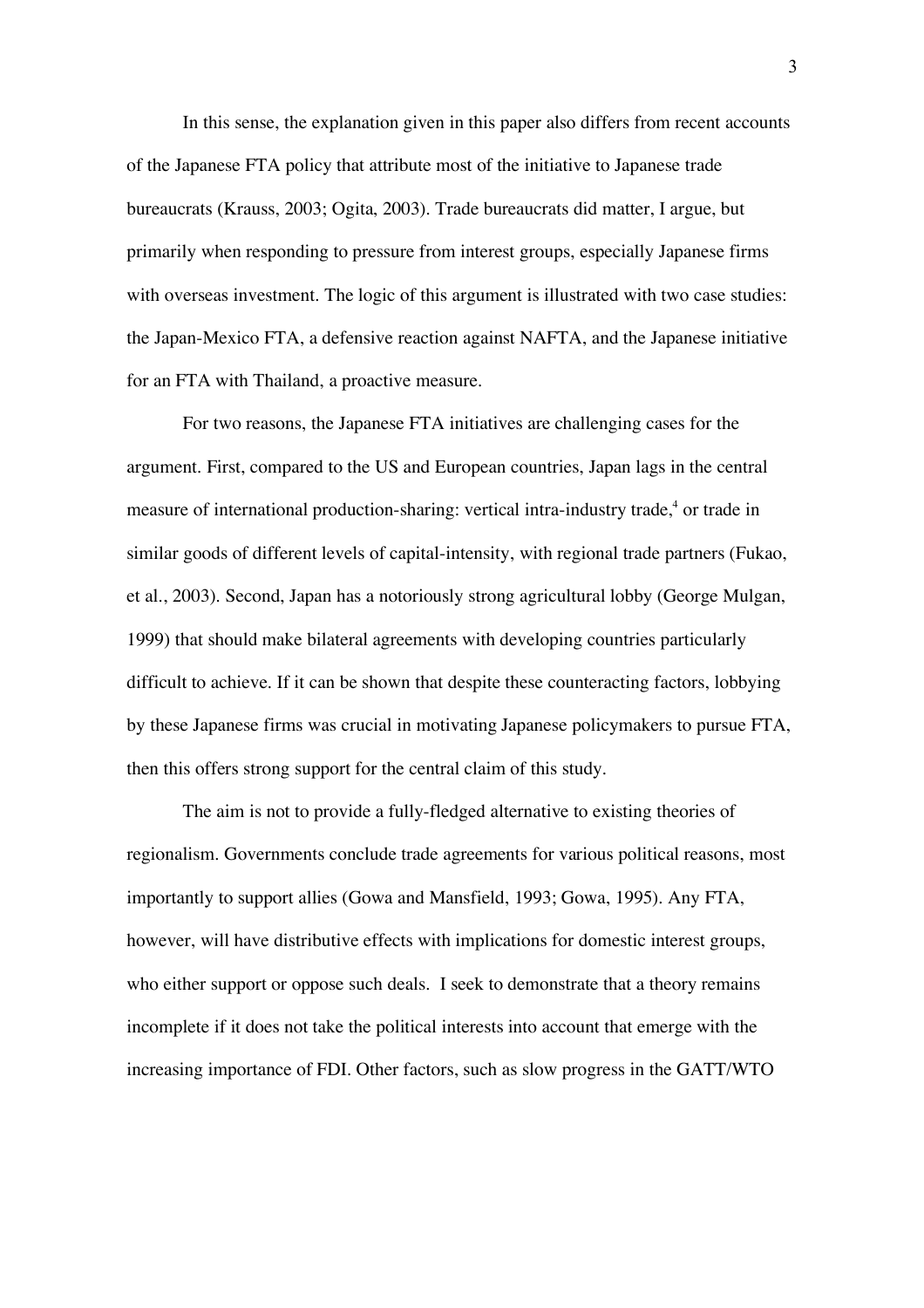In this sense, the explanation given in this paper also differs from recent accounts of the Japanese FTA policy that attribute most of the initiative to Japanese trade bureaucrats (Krauss, 2003; Ogita, 2003). Trade bureaucrats did matter, I argue, but primarily when responding to pressure from interest groups, especially Japanese firms with overseas investment. The logic of this argument is illustrated with two case studies: the Japan-Mexico FTA, a defensive reaction against NAFTA, and the Japanese initiative for an FTA with Thailand, a proactive measure.

For two reasons, the Japanese FTA initiatives are challenging cases for the argument. First, compared to the US and European countries, Japan lags in the central measure of international production-sharing: vertical intra-industry trade,<sup>4</sup> or trade in similar goods of different levels of capital-intensity, with regional trade partners (Fukao, et al., 2003). Second, Japan has a notoriously strong agricultural lobby (George Mulgan, 1999) that should make bilateral agreements with developing countries particularly difficult to achieve. If it can be shown that despite these counteracting factors, lobbying by these Japanese firms was crucial in motivating Japanese policymakers to pursue FTA, then this offers strong support for the central claim of this study.

The aim is not to provide a fully-fledged alternative to existing theories of regionalism. Governments conclude trade agreements for various political reasons, most importantly to support allies (Gowa and Mansfield, 1993; Gowa, 1995). Any FTA, however, will have distributive effects with implications for domestic interest groups, who either support or oppose such deals. I seek to demonstrate that a theory remains incomplete if it does not take the political interests into account that emerge with the increasing importance of FDI. Other factors, such as slow progress in the GATT/WTO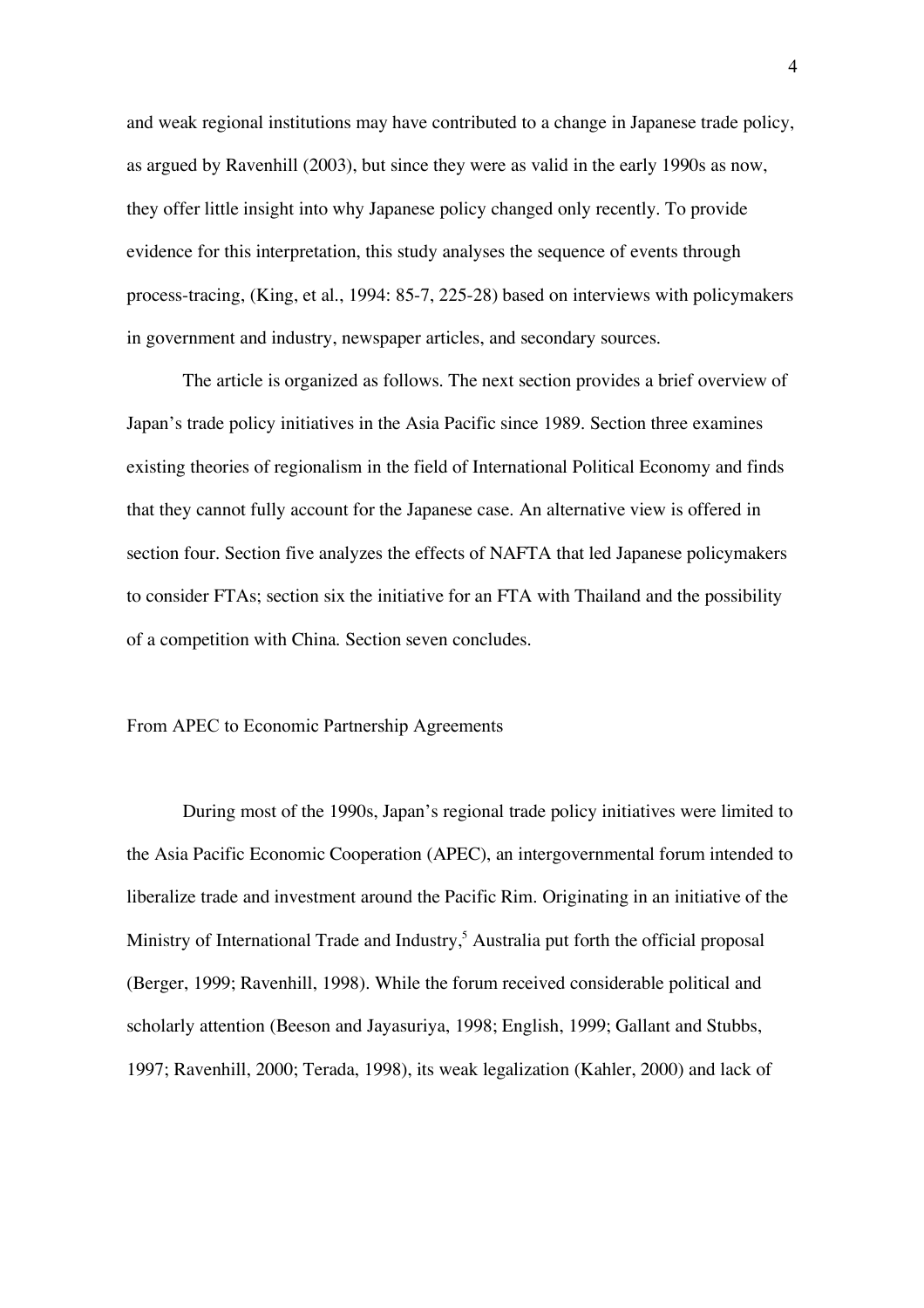and weak regional institutions may have contributed to a change in Japanese trade policy, as argued by Ravenhill (2003), but since they were as valid in the early 1990s as now, they offer little insight into why Japanese policy changed only recently. To provide evidence for this interpretation, this study analyses the sequence of events through process-tracing, (King, et al., 1994: 85-7, 225-28) based on interviews with policymakers in government and industry, newspaper articles, and secondary sources.

The article is organized as follows. The next section provides a brief overview of Japan's trade policy initiatives in the Asia Pacific since 1989. Section three examines existing theories of regionalism in the field of International Political Economy and finds that they cannot fully account for the Japanese case. An alternative view is offered in section four. Section five analyzes the effects of NAFTA that led Japanese policymakers to consider FTAs; section six the initiative for an FTA with Thailand and the possibility of a competition with China. Section seven concludes.

## From APEC to Economic Partnership Agreements

During most of the 1990s, Japan's regional trade policy initiatives were limited to the Asia Pacific Economic Cooperation (APEC), an intergovernmental forum intended to liberalize trade and investment around the Pacific Rim. Originating in an initiative of the Ministry of International Trade and Industry,<sup>5</sup> Australia put forth the official proposal (Berger, 1999; Ravenhill, 1998). While the forum received considerable political and scholarly attention (Beeson and Jayasuriya, 1998; English, 1999; Gallant and Stubbs, 1997; Ravenhill, 2000; Terada, 1998), its weak legalization (Kahler, 2000) and lack of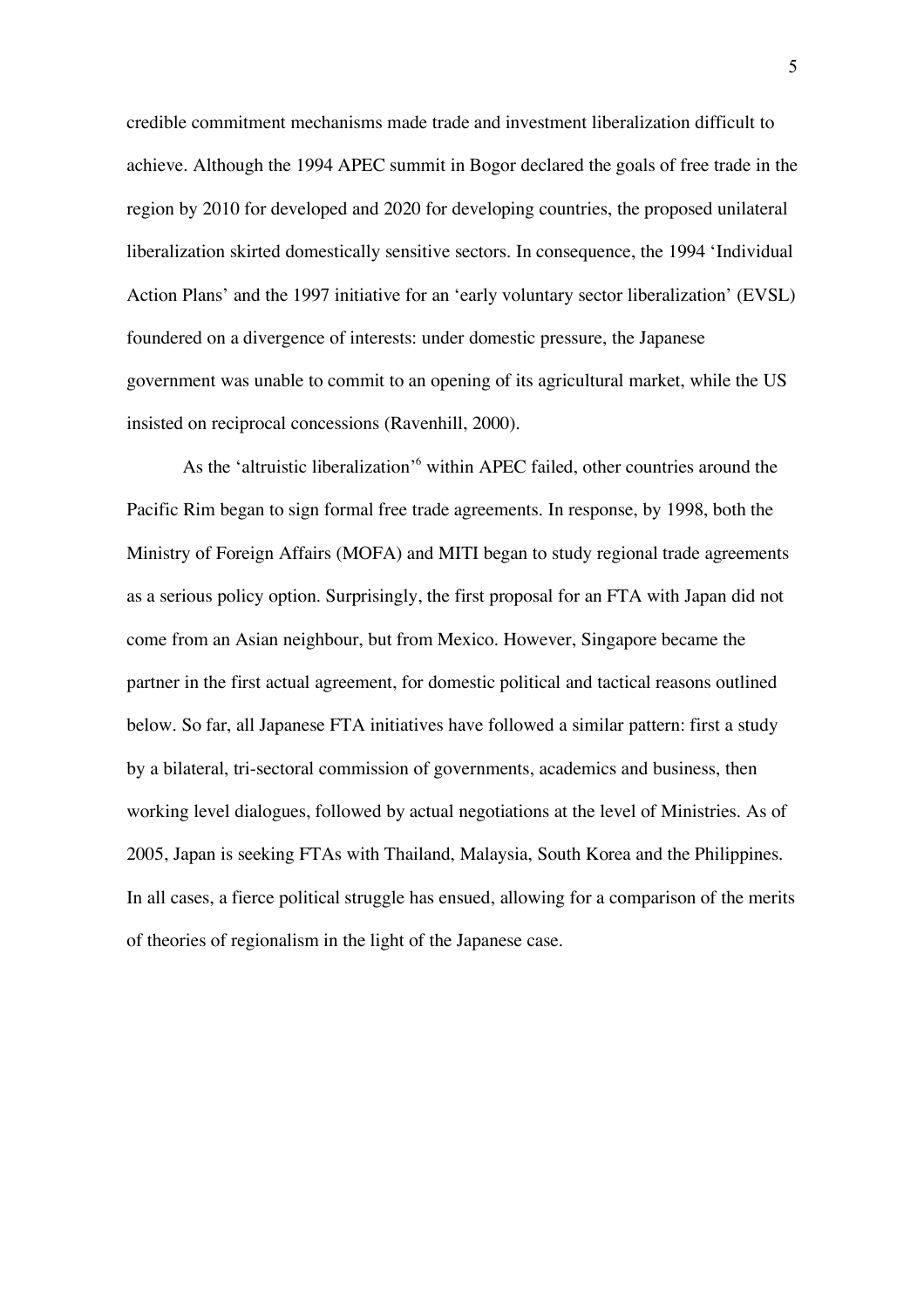credible commitment mechanisms made trade and investment liberalization difficult to achieve. Although the 1994 APEC summit in Bogor declared the goals of free trade in the region by 2010 for developed and 2020 for developing countries, the proposed unilateral liberalization skirted domestically sensitive sectors. In consequence, the 1994 'Individual Action Plans' and the 1997 initiative for an 'early voluntary sector liberalization' (EVSL) foundered on a divergence of interests: under domestic pressure, the Japanese government was unable to commit to an opening of its agricultural market, while the US insisted on reciprocal concessions (Ravenhill, 2000).

As the 'altruistic liberalization'<sup>6</sup> within APEC failed, other countries around the Pacific Rim began to sign formal free trade agreements. In response, by 1998, both the Ministry of Foreign Affairs (MOFA) and MITI began to study regional trade agreements as a serious policy option. Surprisingly, the first proposal for an FTA with Japan did not come from an Asian neighbour, but from Mexico. However, Singapore became the partner in the first actual agreement, for domestic political and tactical reasons outlined below. So far, all Japanese FTA initiatives have followed a similar pattern: first a study by a bilateral, tri-sectoral commission of governments, academics and business, then working level dialogues, followed by actual negotiations at the level of Ministries. As of 2005, Japan is seeking FTAs with Thailand, Malaysia, South Korea and the Philippines. In all cases, a fierce political struggle has ensued, allowing for a comparison of the merits of theories of regionalism in the light of the Japanese case.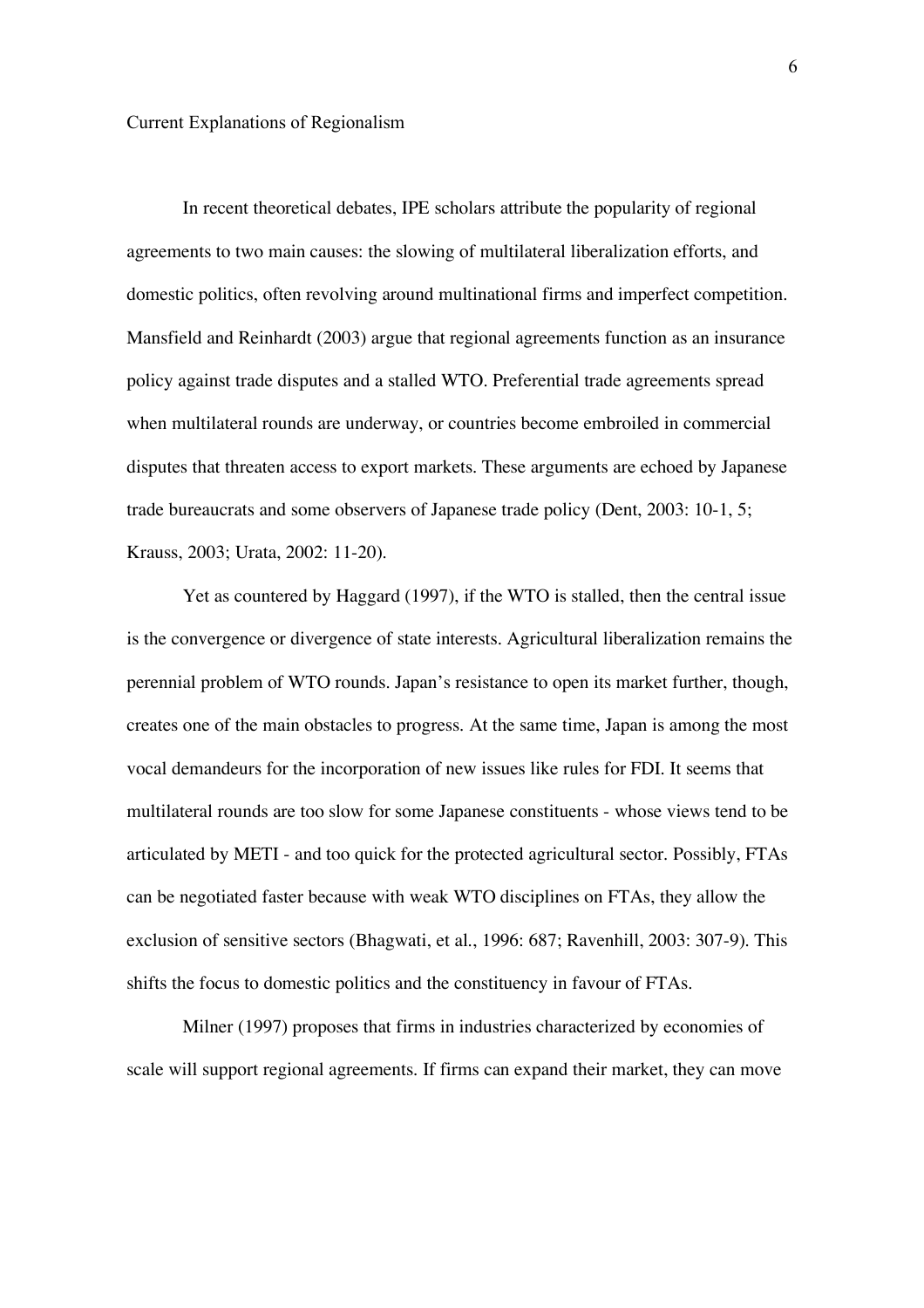In recent theoretical debates, IPE scholars attribute the popularity of regional agreements to two main causes: the slowing of multilateral liberalization efforts, and domestic politics, often revolving around multinational firms and imperfect competition. Mansfield and Reinhardt (2003) argue that regional agreements function as an insurance policy against trade disputes and a stalled WTO. Preferential trade agreements spread when multilateral rounds are underway, or countries become embroiled in commercial disputes that threaten access to export markets. These arguments are echoed by Japanese trade bureaucrats and some observers of Japanese trade policy (Dent, 2003: 10-1, 5; Krauss, 2003; Urata, 2002: 11-20).

Yet as countered by Haggard (1997), if the WTO is stalled, then the central issue is the convergence or divergence of state interests. Agricultural liberalization remains the perennial problem of WTO rounds. Japan's resistance to open its market further, though, creates one of the main obstacles to progress. At the same time, Japan is among the most vocal demandeurs for the incorporation of new issues like rules for FDI. It seems that multilateral rounds are too slow for some Japanese constituents - whose views tend to be articulated by METI - and too quick for the protected agricultural sector. Possibly, FTAs can be negotiated faster because with weak WTO disciplines on FTAs, they allow the exclusion of sensitive sectors (Bhagwati, et al., 1996: 687; Ravenhill, 2003: 307-9). This shifts the focus to domestic politics and the constituency in favour of FTAs.

Milner (1997) proposes that firms in industries characterized by economies of scale will support regional agreements. If firms can expand their market, they can move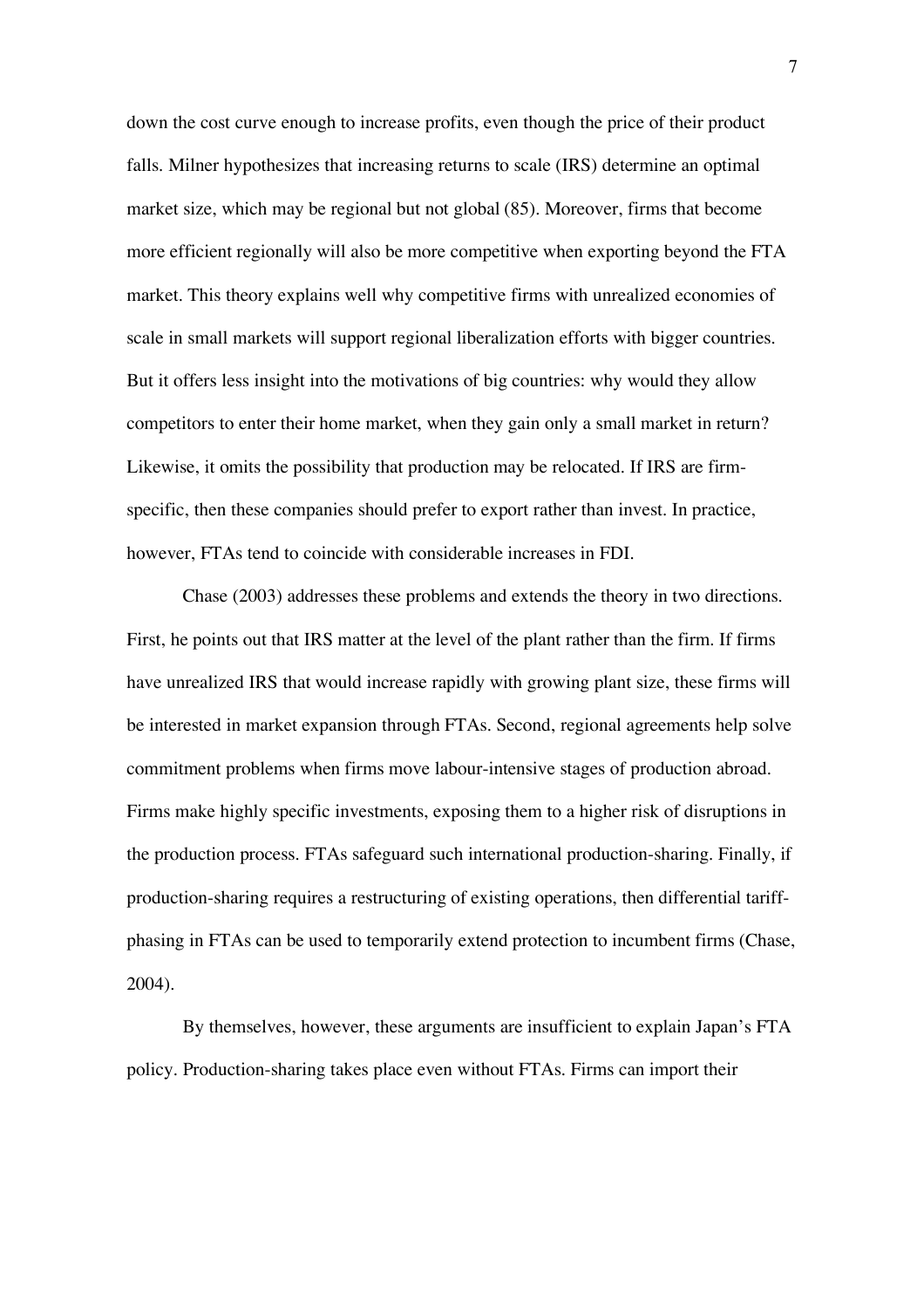down the cost curve enough to increase profits, even though the price of their product falls. Milner hypothesizes that increasing returns to scale (IRS) determine an optimal market size, which may be regional but not global (85). Moreover, firms that become more efficient regionally will also be more competitive when exporting beyond the FTA market. This theory explains well why competitive firms with unrealized economies of scale in small markets will support regional liberalization efforts with bigger countries. But it offers less insight into the motivations of big countries: why would they allow competitors to enter their home market, when they gain only a small market in return? Likewise, it omits the possibility that production may be relocated. If IRS are firmspecific, then these companies should prefer to export rather than invest. In practice, however, FTAs tend to coincide with considerable increases in FDI.

Chase (2003) addresses these problems and extends the theory in two directions. First, he points out that IRS matter at the level of the plant rather than the firm. If firms have unrealized IRS that would increase rapidly with growing plant size, these firms will be interested in market expansion through FTAs. Second, regional agreements help solve commitment problems when firms move labour-intensive stages of production abroad. Firms make highly specific investments, exposing them to a higher risk of disruptions in the production process. FTAs safeguard such international production-sharing. Finally, if production-sharing requires a restructuring of existing operations, then differential tariffphasing in FTAs can be used to temporarily extend protection to incumbent firms (Chase, 2004).

By themselves, however, these arguments are insufficient to explain Japan's FTA policy. Production-sharing takes place even without FTAs. Firms can import their

7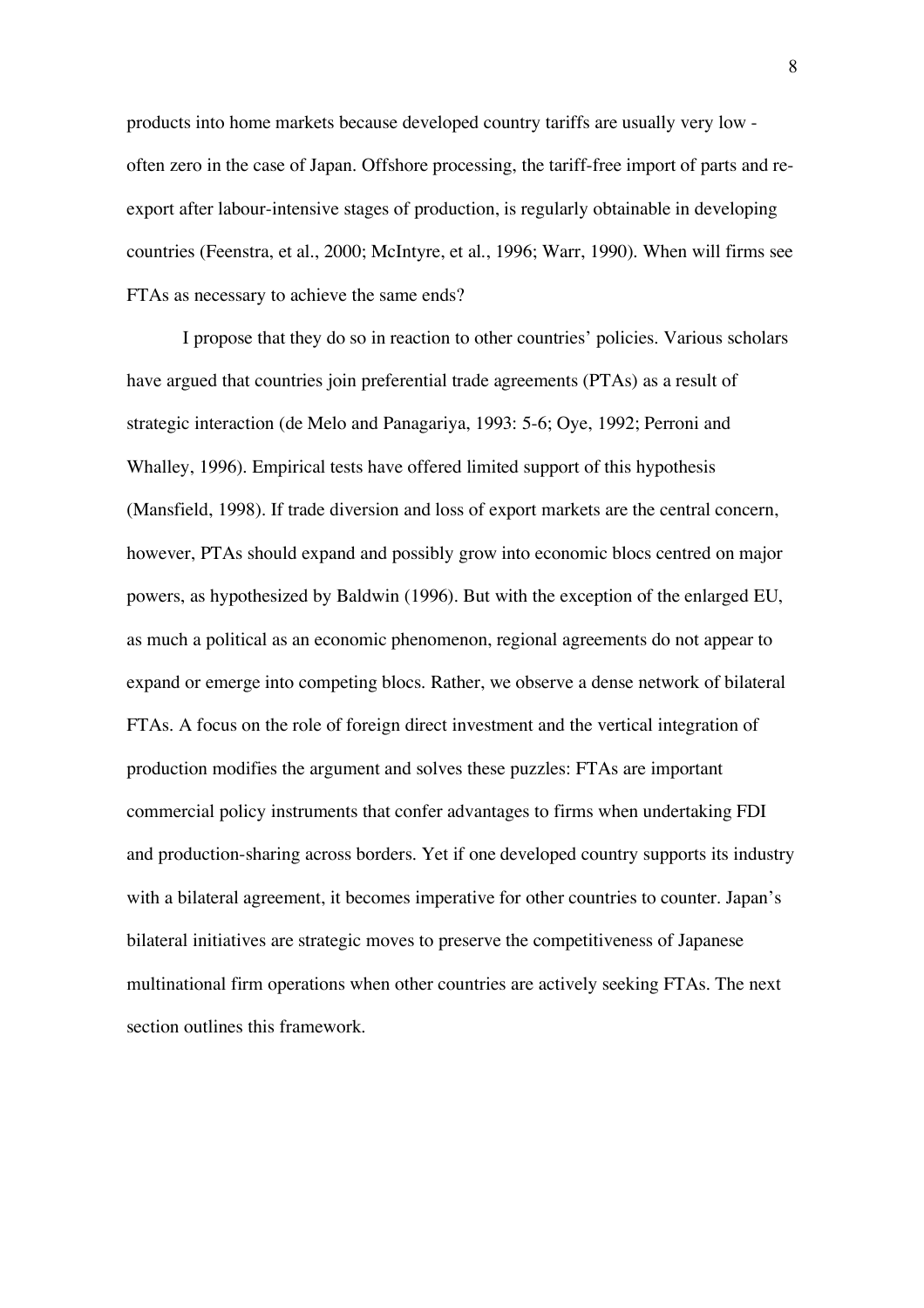products into home markets because developed country tariffs are usually very low often zero in the case of Japan. Offshore processing, the tariff-free import of parts and reexport after labour-intensive stages of production, is regularly obtainable in developing countries (Feenstra, et al., 2000; McIntyre, et al., 1996; Warr, 1990). When will firms see FTAs as necessary to achieve the same ends?

I propose that they do so in reaction to other countries' policies. Various scholars have argued that countries join preferential trade agreements (PTAs) as a result of strategic interaction (de Melo and Panagariya, 1993: 5-6; Oye, 1992; Perroni and Whalley, 1996). Empirical tests have offered limited support of this hypothesis (Mansfield, 1998). If trade diversion and loss of export markets are the central concern, however, PTAs should expand and possibly grow into economic blocs centred on major powers, as hypothesized by Baldwin (1996). But with the exception of the enlarged EU, as much a political as an economic phenomenon, regional agreements do not appear to expand or emerge into competing blocs. Rather, we observe a dense network of bilateral FTAs. A focus on the role of foreign direct investment and the vertical integration of production modifies the argument and solves these puzzles: FTAs are important commercial policy instruments that confer advantages to firms when undertaking FDI and production-sharing across borders. Yet if one developed country supports its industry with a bilateral agreement, it becomes imperative for other countries to counter. Japan's bilateral initiatives are strategic moves to preserve the competitiveness of Japanese multinational firm operations when other countries are actively seeking FTAs. The next section outlines this framework.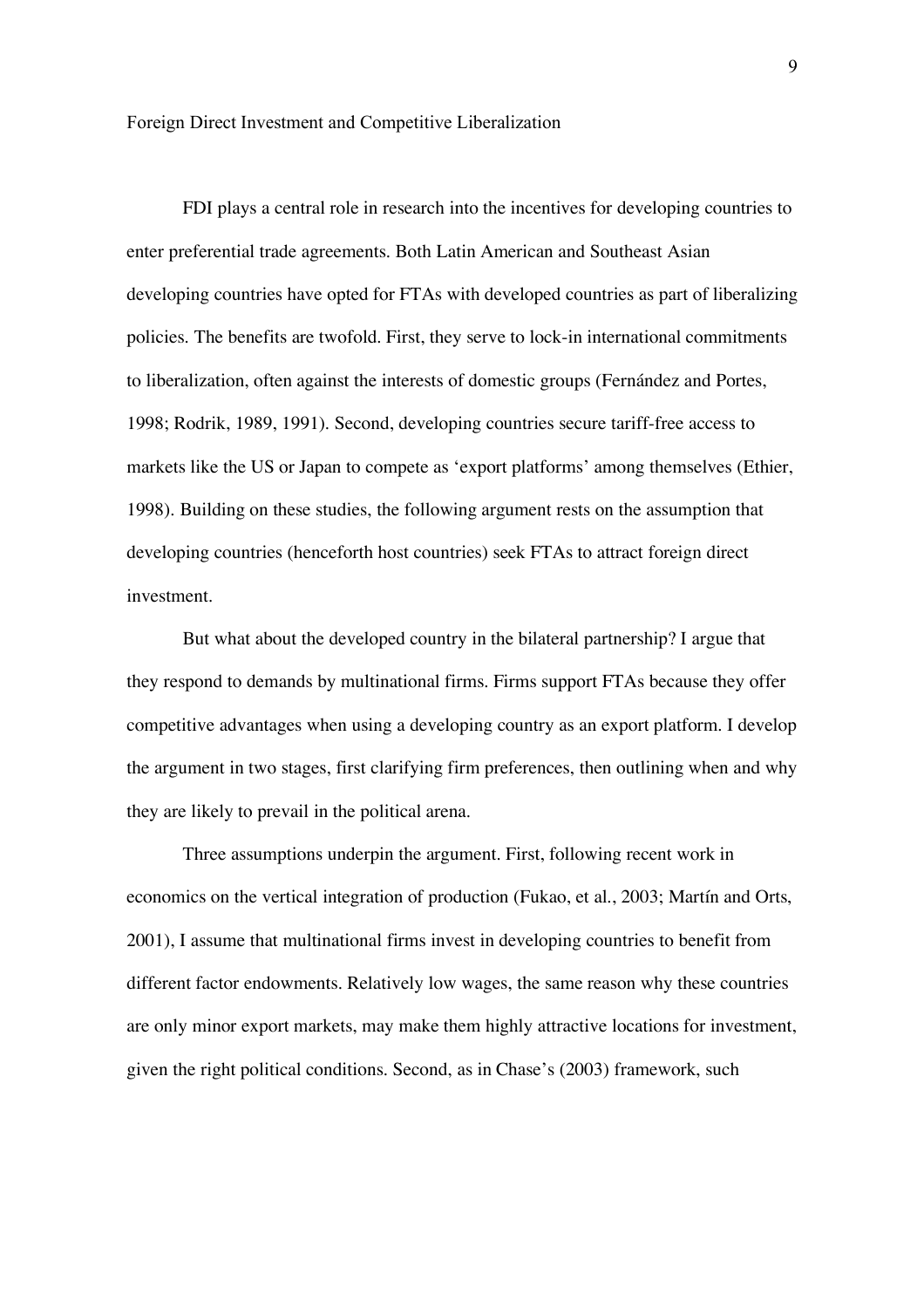FDI plays a central role in research into the incentives for developing countries to enter preferential trade agreements. Both Latin American and Southeast Asian developing countries have opted for FTAs with developed countries as part of liberalizing policies. The benefits are twofold. First, they serve to lock-in international commitments to liberalization, often against the interests of domestic groups (Fernández and Portes, 1998; Rodrik, 1989, 1991). Second, developing countries secure tariff-free access to markets like the US or Japan to compete as 'export platforms' among themselves (Ethier, 1998). Building on these studies, the following argument rests on the assumption that developing countries (henceforth host countries) seek FTAs to attract foreign direct investment.

But what about the developed country in the bilateral partnership? I argue that they respond to demands by multinational firms. Firms support FTAs because they offer competitive advantages when using a developing country as an export platform. I develop the argument in two stages, first clarifying firm preferences, then outlining when and why they are likely to prevail in the political arena.

Three assumptions underpin the argument. First, following recent work in economics on the vertical integration of production (Fukao, et al., 2003; Martín and Orts, 2001), I assume that multinational firms invest in developing countries to benefit from different factor endowments. Relatively low wages, the same reason why these countries are only minor export markets, may make them highly attractive locations for investment, given the right political conditions. Second, as in Chase's (2003) framework, such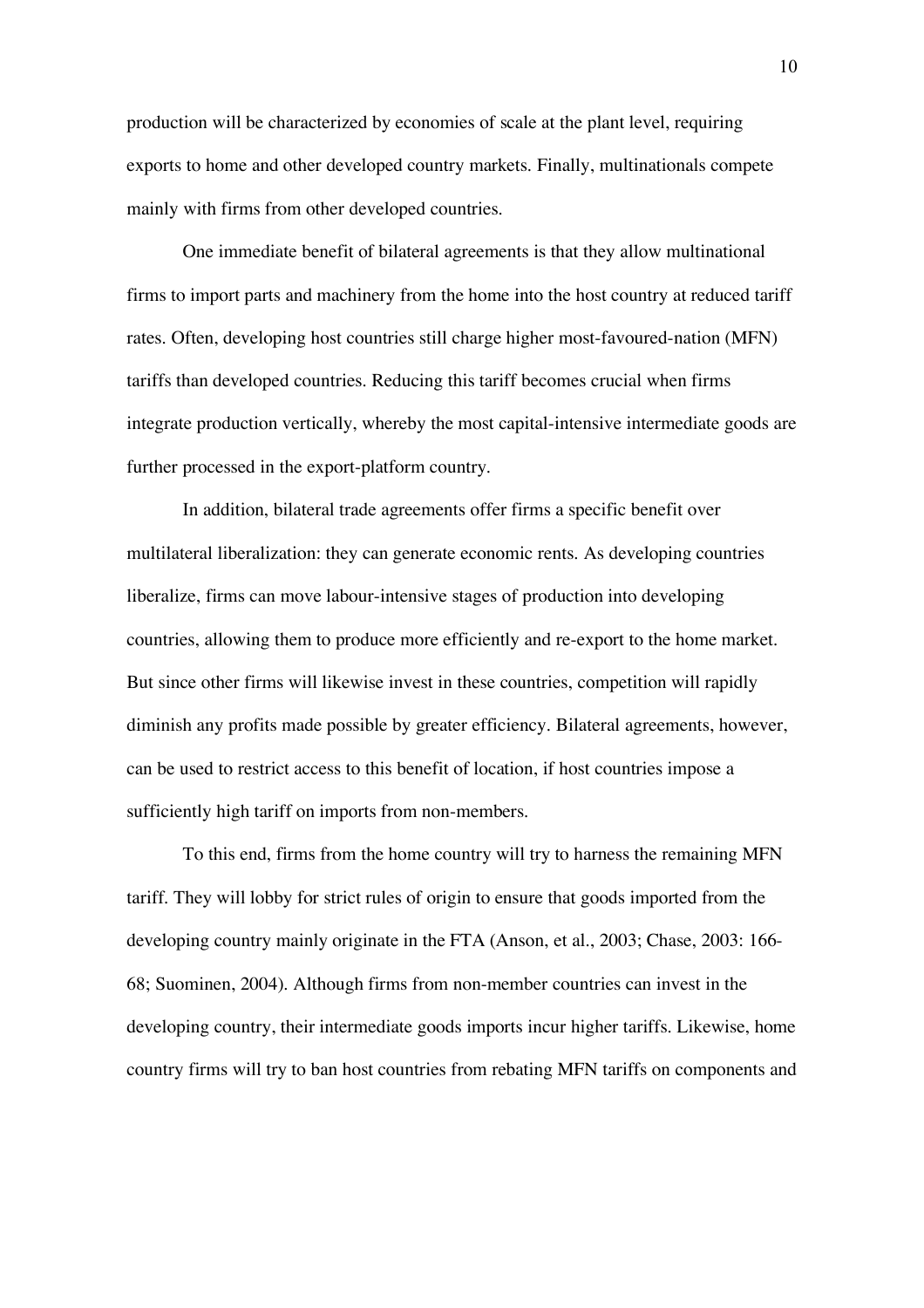production will be characterized by economies of scale at the plant level, requiring exports to home and other developed country markets. Finally, multinationals compete mainly with firms from other developed countries.

One immediate benefit of bilateral agreements is that they allow multinational firms to import parts and machinery from the home into the host country at reduced tariff rates. Often, developing host countries still charge higher most-favoured-nation (MFN) tariffs than developed countries. Reducing this tariff becomes crucial when firms integrate production vertically, whereby the most capital-intensive intermediate goods are further processed in the export-platform country.

In addition, bilateral trade agreements offer firms a specific benefit over multilateral liberalization: they can generate economic rents. As developing countries liberalize, firms can move labour-intensive stages of production into developing countries, allowing them to produce more efficiently and re-export to the home market. But since other firms will likewise invest in these countries, competition will rapidly diminish any profits made possible by greater efficiency. Bilateral agreements, however, can be used to restrict access to this benefit of location, if host countries impose a sufficiently high tariff on imports from non-members.

To this end, firms from the home country will try to harness the remaining MFN tariff. They will lobby for strict rules of origin to ensure that goods imported from the developing country mainly originate in the FTA (Anson, et al., 2003; Chase, 2003: 166- 68; Suominen, 2004). Although firms from non-member countries can invest in the developing country, their intermediate goods imports incur higher tariffs. Likewise, home country firms will try to ban host countries from rebating MFN tariffs on components and

10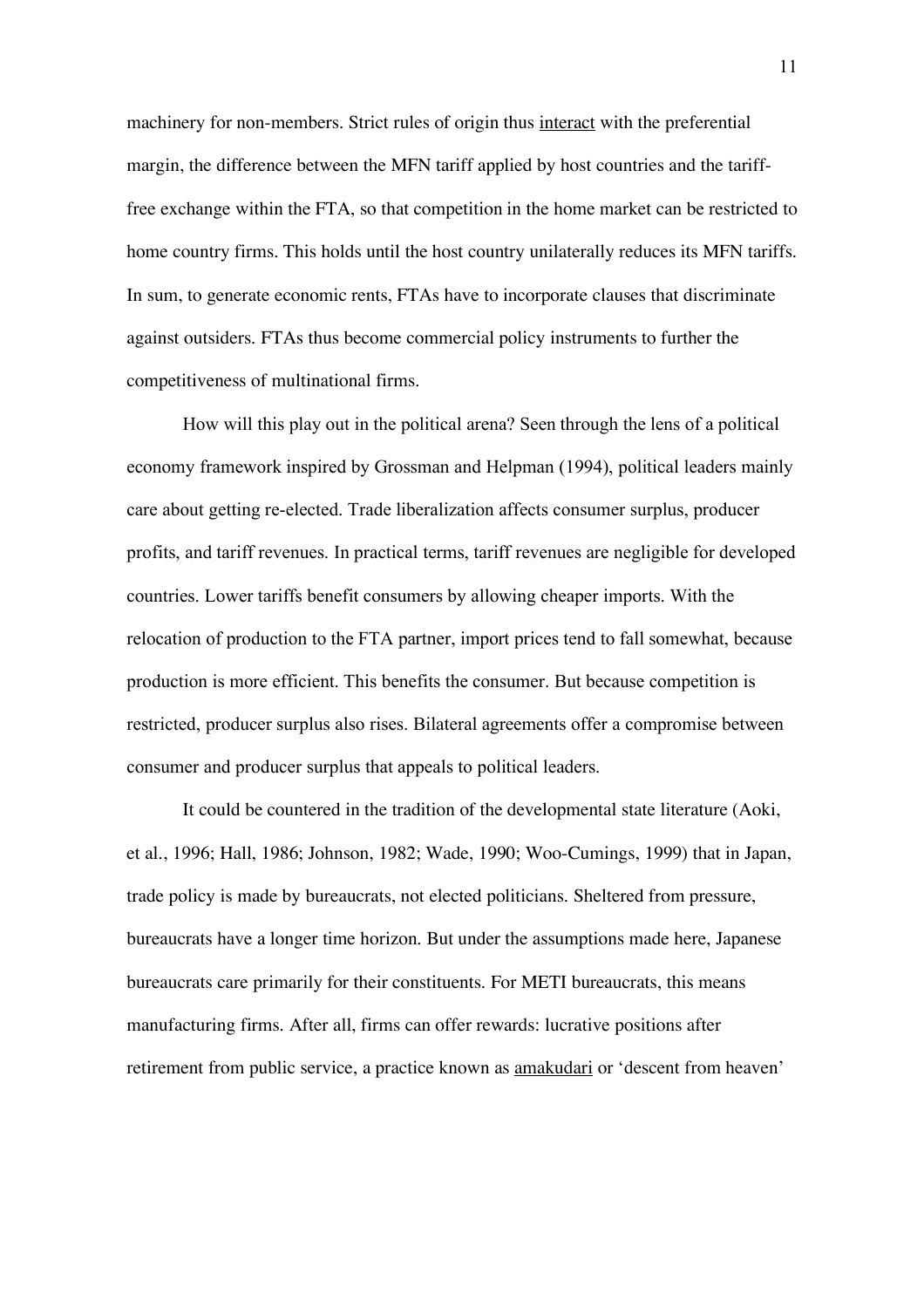machinery for non-members. Strict rules of origin thus interact with the preferential margin, the difference between the MFN tariff applied by host countries and the tarifffree exchange within the FTA, so that competition in the home market can be restricted to home country firms. This holds until the host country unilaterally reduces its MFN tariffs. In sum, to generate economic rents, FTAs have to incorporate clauses that discriminate against outsiders. FTAs thus become commercial policy instruments to further the competitiveness of multinational firms.

How will this play out in the political arena? Seen through the lens of a political economy framework inspired by Grossman and Helpman (1994), political leaders mainly care about getting re-elected. Trade liberalization affects consumer surplus, producer profits, and tariff revenues. In practical terms, tariff revenues are negligible for developed countries. Lower tariffs benefit consumers by allowing cheaper imports. With the relocation of production to the FTA partner, import prices tend to fall somewhat, because production is more efficient. This benefits the consumer. But because competition is restricted, producer surplus also rises. Bilateral agreements offer a compromise between consumer and producer surplus that appeals to political leaders.

It could be countered in the tradition of the developmental state literature (Aoki, et al., 1996; Hall, 1986; Johnson, 1982; Wade, 1990; Woo-Cumings, 1999) that in Japan, trade policy is made by bureaucrats, not elected politicians. Sheltered from pressure, bureaucrats have a longer time horizon. But under the assumptions made here, Japanese bureaucrats care primarily for their constituents. For METI bureaucrats, this means manufacturing firms. After all, firms can offer rewards: lucrative positions after retirement from public service, a practice known as amakudari or 'descent from heaven'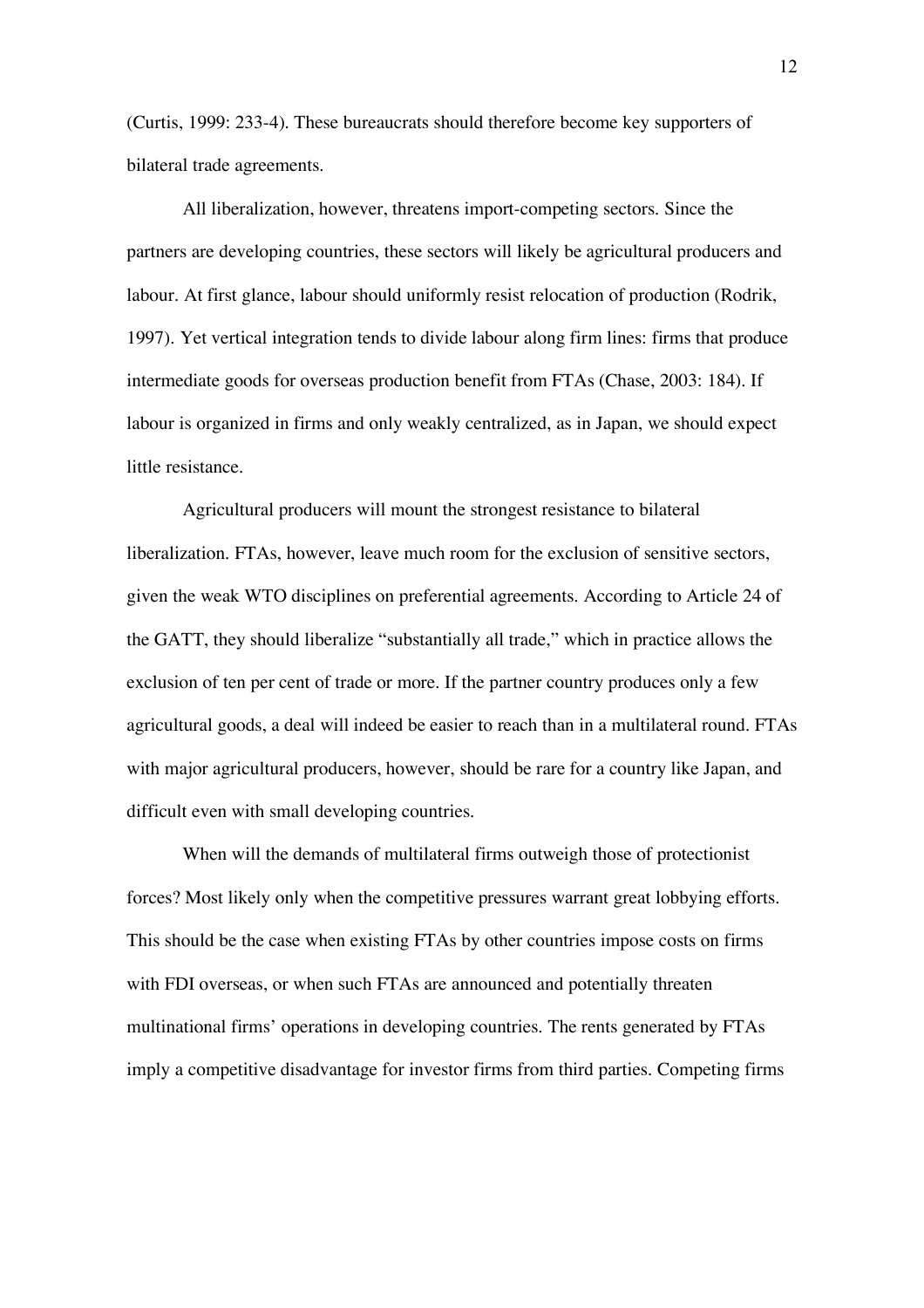(Curtis, 1999: 233-4). These bureaucrats should therefore become key supporters of bilateral trade agreements.

All liberalization, however, threatens import-competing sectors. Since the partners are developing countries, these sectors will likely be agricultural producers and labour. At first glance, labour should uniformly resist relocation of production (Rodrik, 1997). Yet vertical integration tends to divide labour along firm lines: firms that produce intermediate goods for overseas production benefit from FTAs (Chase, 2003: 184). If labour is organized in firms and only weakly centralized, as in Japan, we should expect little resistance.

Agricultural producers will mount the strongest resistance to bilateral liberalization. FTAs, however, leave much room for the exclusion of sensitive sectors, given the weak WTO disciplines on preferential agreements. According to Article 24 of the GATT, they should liberalize "substantially all trade," which in practice allows the exclusion of ten per cent of trade or more. If the partner country produces only a few agricultural goods, a deal will indeed be easier to reach than in a multilateral round. FTAs with major agricultural producers, however, should be rare for a country like Japan, and difficult even with small developing countries.

When will the demands of multilateral firms outweigh those of protectionist forces? Most likely only when the competitive pressures warrant great lobbying efforts. This should be the case when existing FTAs by other countries impose costs on firms with FDI overseas, or when such FTAs are announced and potentially threaten multinational firms' operations in developing countries. The rents generated by FTAs imply a competitive disadvantage for investor firms from third parties. Competing firms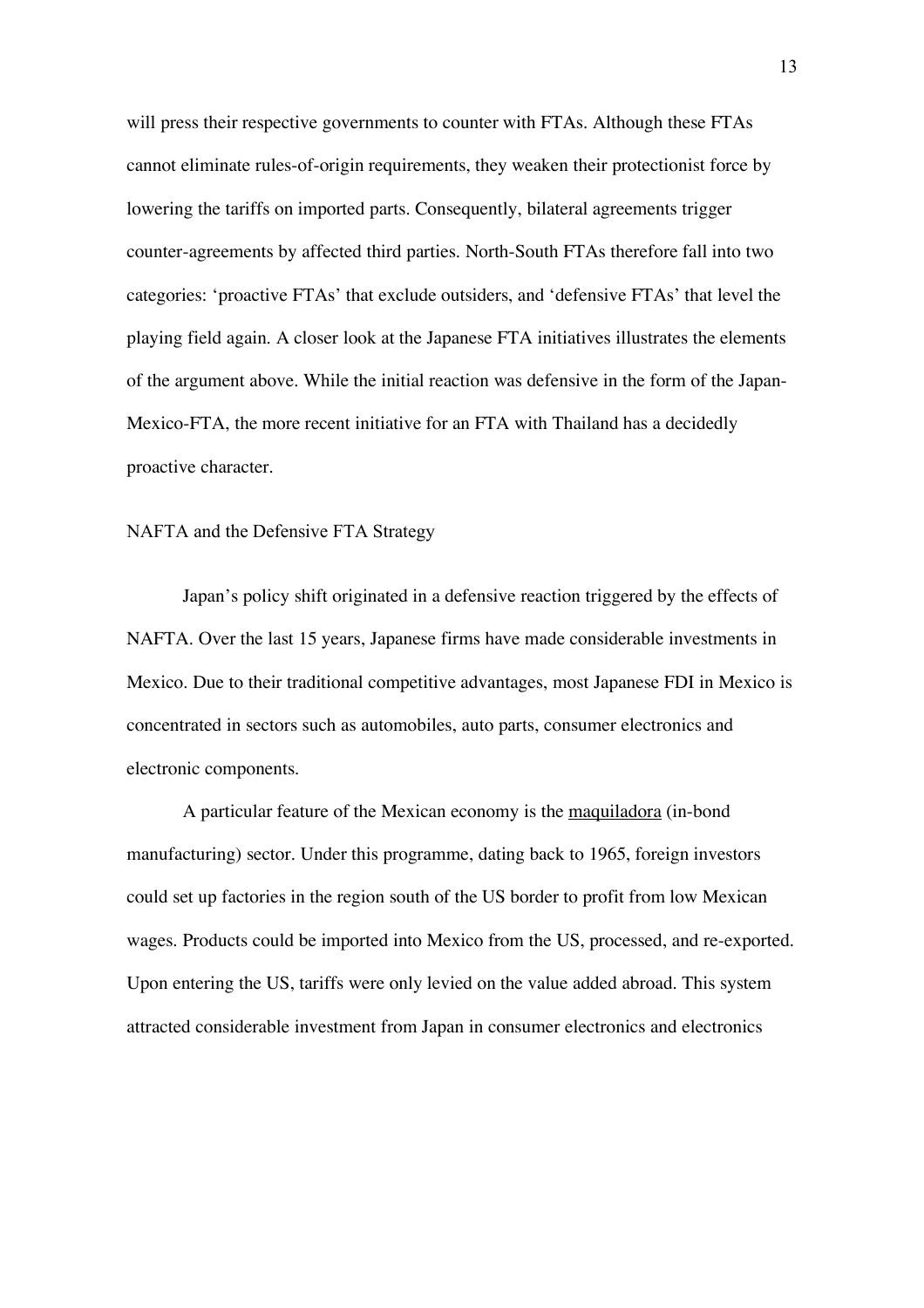will press their respective governments to counter with FTAs. Although these FTAs cannot eliminate rules-of-origin requirements, they weaken their protectionist force by lowering the tariffs on imported parts. Consequently, bilateral agreements trigger counter-agreements by affected third parties. North-South FTAs therefore fall into two categories: 'proactive FTAs' that exclude outsiders, and 'defensive FTAs' that level the playing field again. A closer look at the Japanese FTA initiatives illustrates the elements of the argument above. While the initial reaction was defensive in the form of the Japan-Mexico-FTA, the more recent initiative for an FTA with Thailand has a decidedly proactive character.

#### NAFTA and the Defensive FTA Strategy

Japan's policy shift originated in a defensive reaction triggered by the effects of NAFTA. Over the last 15 years, Japanese firms have made considerable investments in Mexico. Due to their traditional competitive advantages, most Japanese FDI in Mexico is concentrated in sectors such as automobiles, auto parts, consumer electronics and electronic components.

A particular feature of the Mexican economy is the maquiladora (in-bond manufacturing) sector. Under this programme, dating back to 1965, foreign investors could set up factories in the region south of the US border to profit from low Mexican wages. Products could be imported into Mexico from the US, processed, and re-exported. Upon entering the US, tariffs were only levied on the value added abroad. This system attracted considerable investment from Japan in consumer electronics and electronics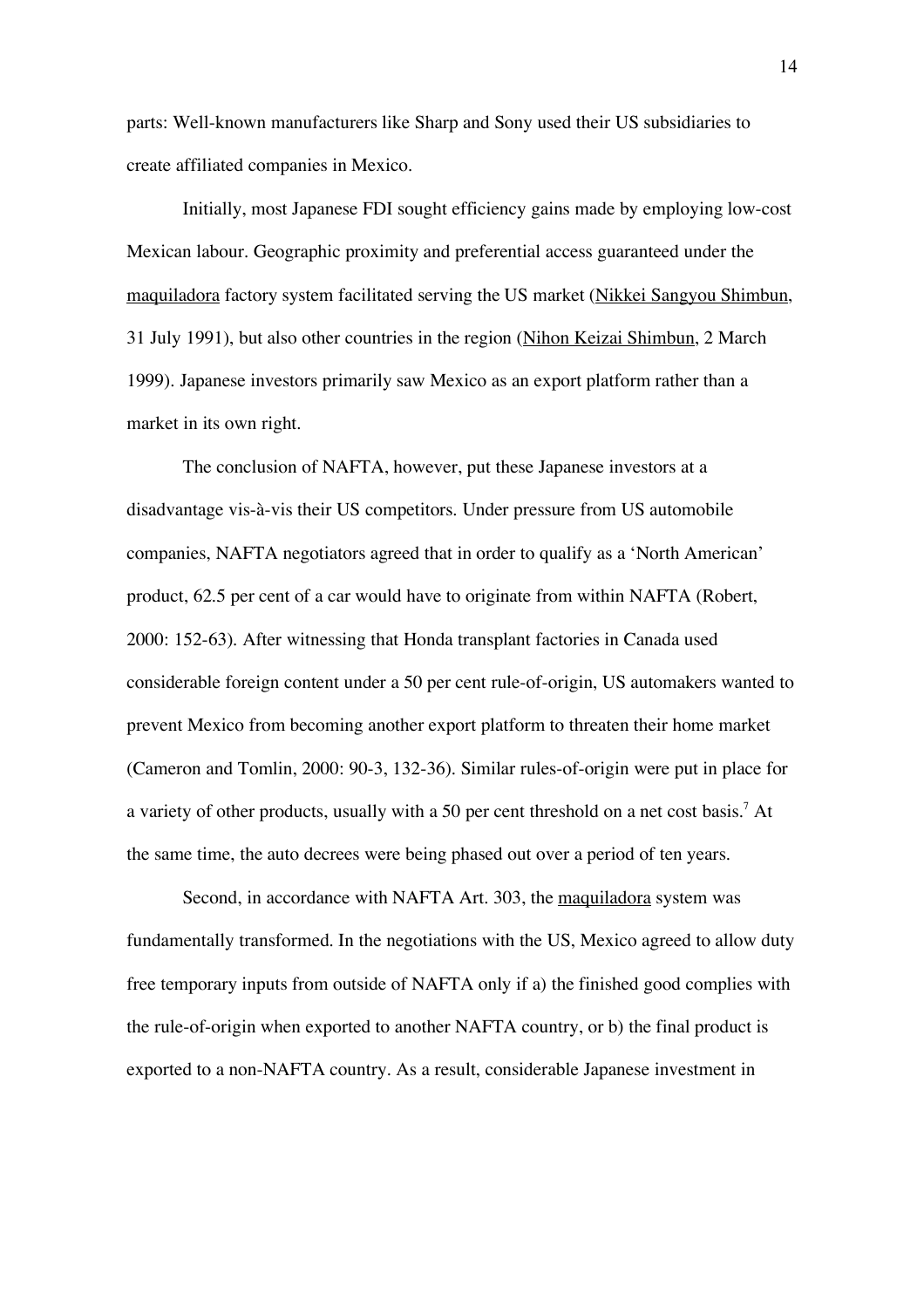parts: Well-known manufacturers like Sharp and Sony used their US subsidiaries to create affiliated companies in Mexico.

Initially, most Japanese FDI sought efficiency gains made by employing low-cost Mexican labour. Geographic proximity and preferential access guaranteed under the maquiladora factory system facilitated serving the US market (Nikkei Sangyou Shimbun, 31 July 1991), but also other countries in the region (Nihon Keizai Shimbun, 2 March 1999). Japanese investors primarily saw Mexico as an export platform rather than a market in its own right.

The conclusion of NAFTA, however, put these Japanese investors at a disadvantage vis-à-vis their US competitors. Under pressure from US automobile companies, NAFTA negotiators agreed that in order to qualify as a 'North American' product, 62.5 per cent of a car would have to originate from within NAFTA (Robert, 2000: 152-63). After witnessing that Honda transplant factories in Canada used considerable foreign content under a 50 per cent rule-of-origin, US automakers wanted to prevent Mexico from becoming another export platform to threaten their home market (Cameron and Tomlin, 2000: 90-3, 132-36). Similar rules-of-origin were put in place for a variety of other products, usually with a 50 per cent threshold on a net cost basis.<sup>7</sup> At the same time, the auto decrees were being phased out over a period of ten years.

Second, in accordance with NAFTA Art. 303, the maquiladora system was fundamentally transformed. In the negotiations with the US, Mexico agreed to allow duty free temporary inputs from outside of NAFTA only if a) the finished good complies with the rule-of-origin when exported to another NAFTA country, or b) the final product is exported to a non-NAFTA country. As a result, considerable Japanese investment in

14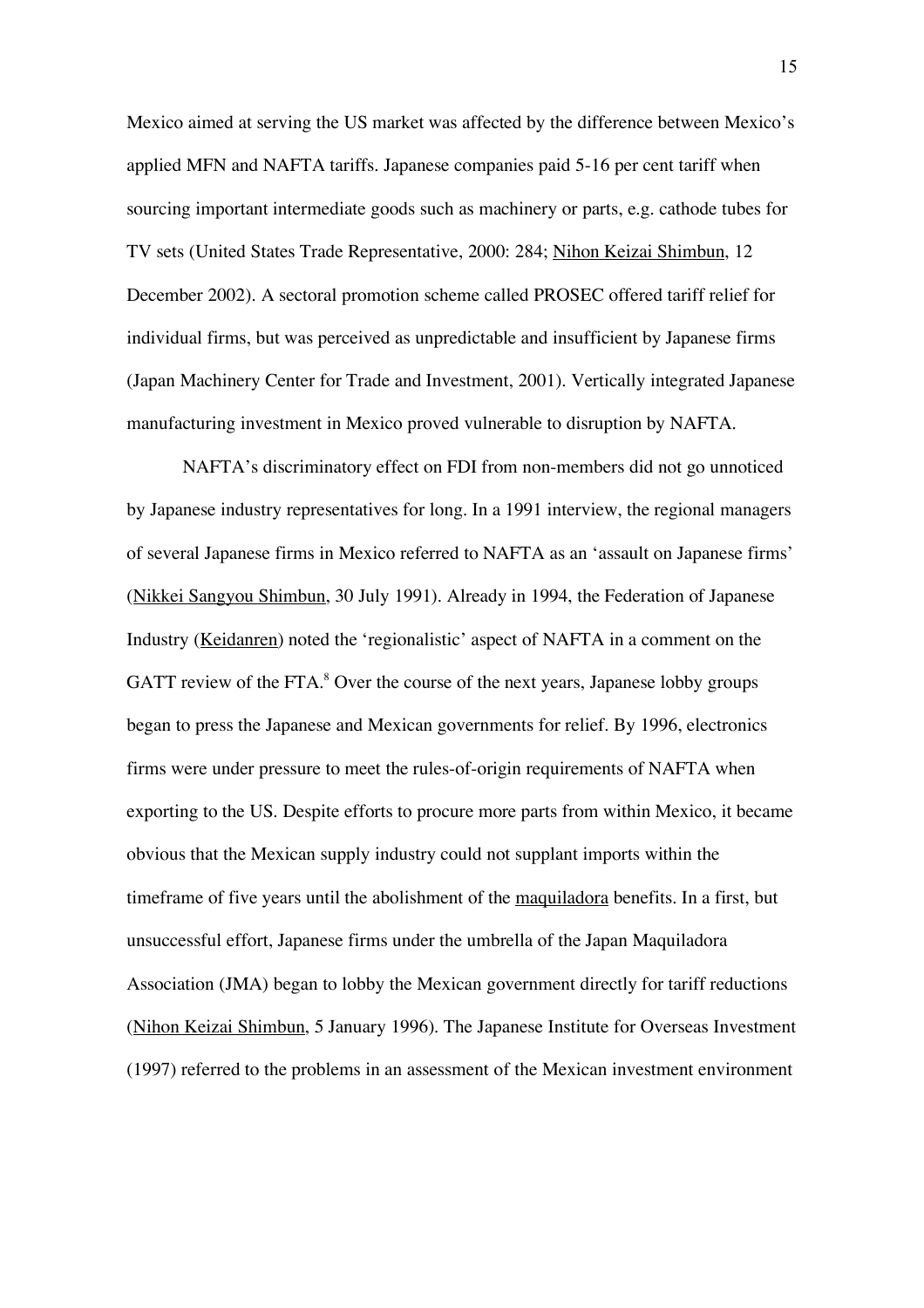Mexico aimed at serving the US market was affected by the difference between Mexico's applied MFN and NAFTA tariffs. Japanese companies paid 5-16 per cent tariff when sourcing important intermediate goods such as machinery or parts, e.g. cathode tubes for TV sets (United States Trade Representative, 2000: 284; Nihon Keizai Shimbun, 12 December 2002). A sectoral promotion scheme called PROSEC offered tariff relief for individual firms, but was perceived as unpredictable and insufficient by Japanese firms (Japan Machinery Center for Trade and Investment, 2001). Vertically integrated Japanese manufacturing investment in Mexico proved vulnerable to disruption by NAFTA.

NAFTA's discriminatory effect on FDI from non-members did not go unnoticed by Japanese industry representatives for long. In a 1991 interview, the regional managers of several Japanese firms in Mexico referred to NAFTA as an 'assault on Japanese firms' (Nikkei Sangyou Shimbun, 30 July 1991). Already in 1994, the Federation of Japanese Industry (Keidanren) noted the 'regionalistic' aspect of NAFTA in a comment on the GATT review of the FTA. $8$  Over the course of the next years, Japanese lobby groups began to press the Japanese and Mexican governments for relief. By 1996, electronics firms were under pressure to meet the rules-of-origin requirements of NAFTA when exporting to the US. Despite efforts to procure more parts from within Mexico, it became obvious that the Mexican supply industry could not supplant imports within the timeframe of five years until the abolishment of the maquiladora benefits. In a first, but unsuccessful effort, Japanese firms under the umbrella of the Japan Maquiladora Association (JMA) began to lobby the Mexican government directly for tariff reductions (Nihon Keizai Shimbun, 5 January 1996). The Japanese Institute for Overseas Investment (1997) referred to the problems in an assessment of the Mexican investment environment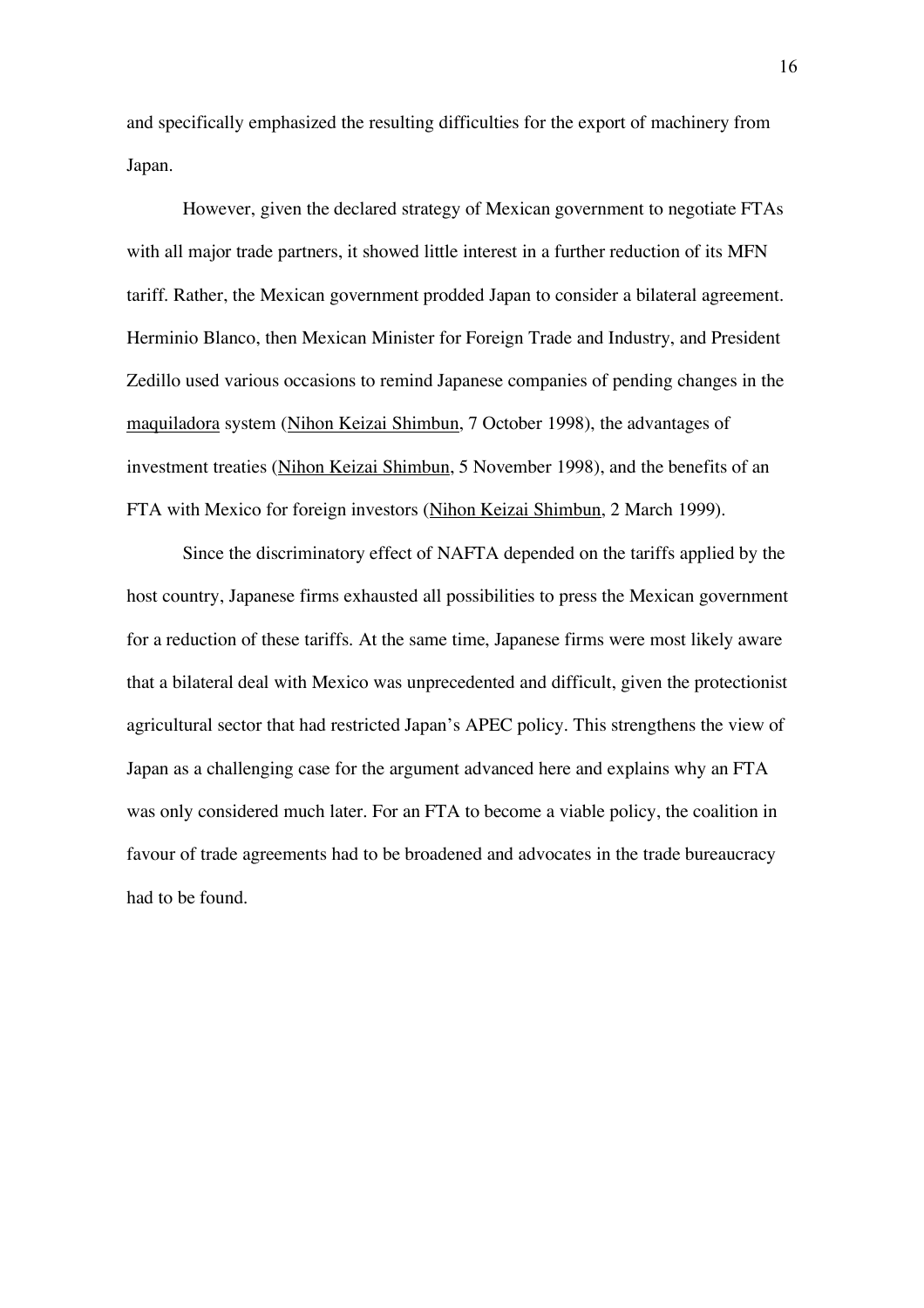and specifically emphasized the resulting difficulties for the export of machinery from Japan.

However, given the declared strategy of Mexican government to negotiate FTAs with all major trade partners, it showed little interest in a further reduction of its MFN tariff. Rather, the Mexican government prodded Japan to consider a bilateral agreement. Herminio Blanco, then Mexican Minister for Foreign Trade and Industry, and President Zedillo used various occasions to remind Japanese companies of pending changes in the maquiladora system (Nihon Keizai Shimbun, 7 October 1998), the advantages of investment treaties (Nihon Keizai Shimbun, 5 November 1998), and the benefits of an FTA with Mexico for foreign investors (Nihon Keizai Shimbun, 2 March 1999).

Since the discriminatory effect of NAFTA depended on the tariffs applied by the host country, Japanese firms exhausted all possibilities to press the Mexican government for a reduction of these tariffs. At the same time, Japanese firms were most likely aware that a bilateral deal with Mexico was unprecedented and difficult, given the protectionist agricultural sector that had restricted Japan's APEC policy. This strengthens the view of Japan as a challenging case for the argument advanced here and explains why an FTA was only considered much later. For an FTA to become a viable policy, the coalition in favour of trade agreements had to be broadened and advocates in the trade bureaucracy had to be found.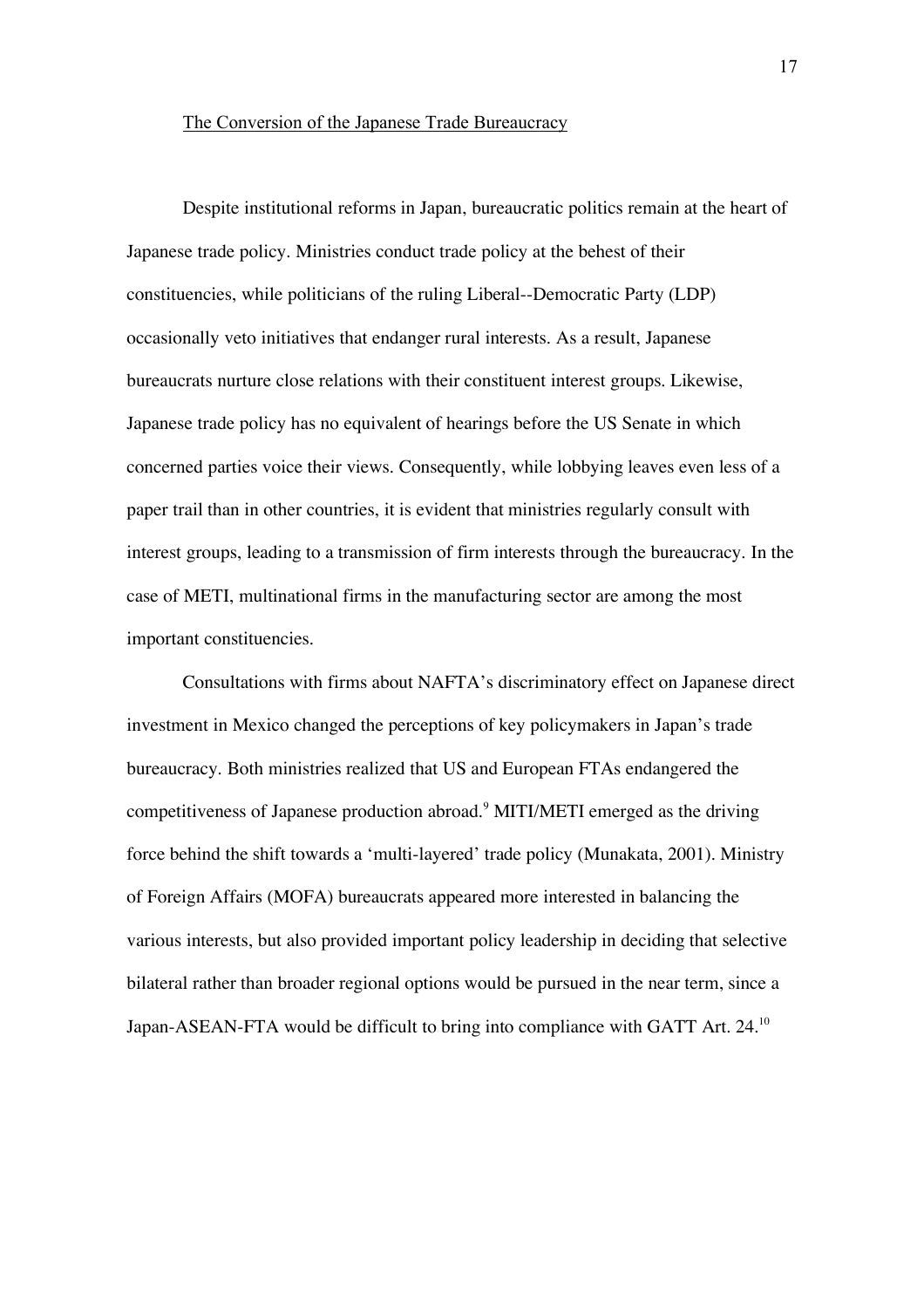Despite institutional reforms in Japan, bureaucratic politics remain at the heart of Japanese trade policy. Ministries conduct trade policy at the behest of their constituencies, while politicians of the ruling Liberal--Democratic Party (LDP) occasionally veto initiatives that endanger rural interests. As a result, Japanese bureaucrats nurture close relations with their constituent interest groups. Likewise, Japanese trade policy has no equivalent of hearings before the US Senate in which concerned parties voice their views. Consequently, while lobbying leaves even less of a paper trail than in other countries, it is evident that ministries regularly consult with interest groups, leading to a transmission of firm interests through the bureaucracy. In the case of METI, multinational firms in the manufacturing sector are among the most important constituencies.

Consultations with firms about NAFTA's discriminatory effect on Japanese direct investment in Mexico changed the perceptions of key policymakers in Japan's trade bureaucracy. Both ministries realized that US and European FTAs endangered the competitiveness of Japanese production abroad.<sup>9</sup> MITI/METI emerged as the driving force behind the shift towards a 'multi-layered' trade policy (Munakata, 2001). Ministry of Foreign Affairs (MOFA) bureaucrats appeared more interested in balancing the various interests, but also provided important policy leadership in deciding that selective bilateral rather than broader regional options would be pursued in the near term, since a Japan-ASEAN-FTA would be difficult to bring into compliance with GATT Art. 24.<sup>10</sup>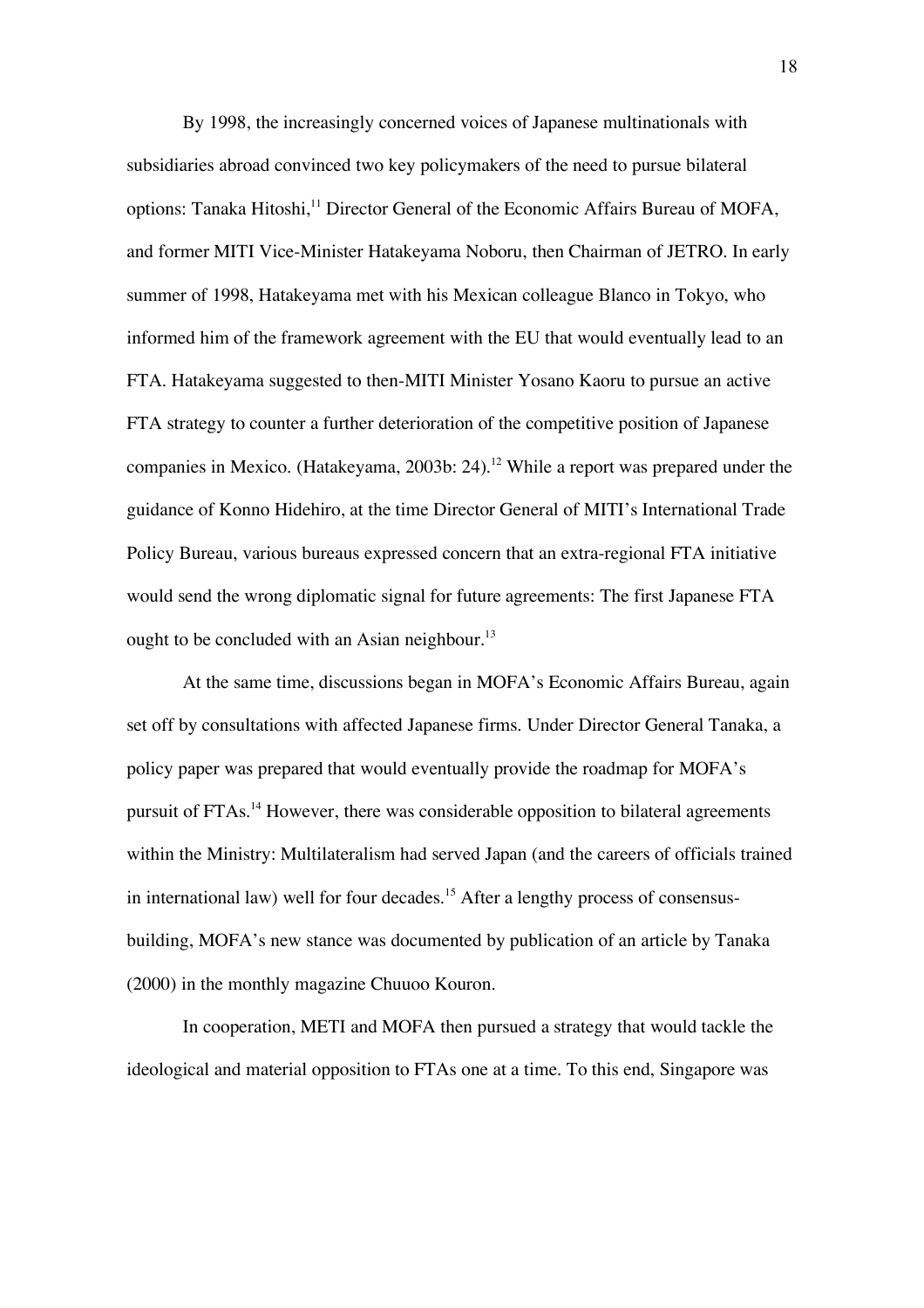By 1998, the increasingly concerned voices of Japanese multinationals with subsidiaries abroad convinced two key policymakers of the need to pursue bilateral options: Tanaka Hitoshi,<sup>11</sup> Director General of the Economic Affairs Bureau of MOFA, and former MITI Vice-Minister Hatakeyama Noboru, then Chairman of JETRO. In early summer of 1998, Hatakeyama met with his Mexican colleague Blanco in Tokyo, who informed him of the framework agreement with the EU that would eventually lead to an FTA. Hatakeyama suggested to then-MITI Minister Yosano Kaoru to pursue an active FTA strategy to counter a further deterioration of the competitive position of Japanese companies in Mexico. (Hatakeyama, 2003b: 24). 12 While a report was prepared under the guidance of Konno Hidehiro, at the time Director General of MITI's International Trade Policy Bureau, various bureaus expressed concern that an extra-regional FTA initiative would send the wrong diplomatic signal for future agreements: The first Japanese FTA ought to be concluded with an Asian neighbour.<sup>13</sup>

At the same time, discussions began in MOFA's Economic Affairs Bureau, again set off by consultations with affected Japanese firms. Under Director General Tanaka, a policy paper was prepared that would eventually provide the roadmap for MOFA's pursuit of FTAs.<sup>14</sup> However, there was considerable opposition to bilateral agreements within the Ministry: Multilateralism had served Japan (and the careers of officials trained in international law) well for four decades.<sup>15</sup> After a lengthy process of consensusbuilding, MOFA's new stance was documented by publication of an article by Tanaka (2000) in the monthly magazine Chuuoo Kouron.

In cooperation, METI and MOFA then pursued a strategy that would tackle the ideological and material opposition to FTAs one at a time. To this end, Singapore was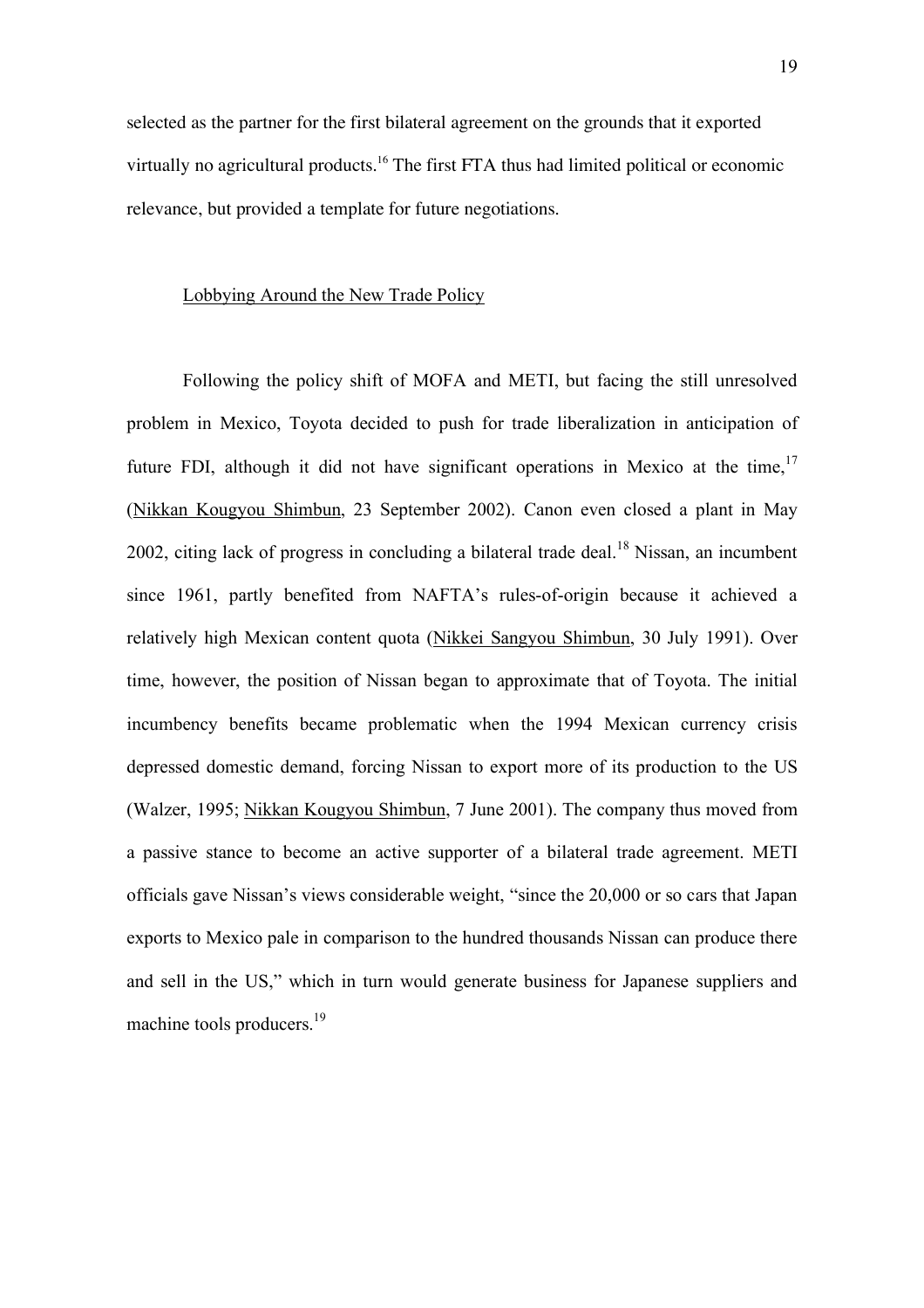selected as the partner for the first bilateral agreement on the grounds that it exported virtually no agricultural products.<sup>16</sup> The first FTA thus had limited political or economic relevance, but provided a template for future negotiations.

#### Lobbying Around the New Trade Policy

Following the policy shift of MOFA and METI, but facing the still unresolved problem in Mexico, Toyota decided to push for trade liberalization in anticipation of future FDI, although it did not have significant operations in Mexico at the time,  $17$ (Nikkan Kougyou Shimbun, 23 September 2002). Canon even closed a plant in May 2002, citing lack of progress in concluding a bilateral trade deal.<sup>18</sup> Nissan, an incumbent since 1961, partly benefited from NAFTA's rules-of-origin because it achieved a relatively high Mexican content quota (Nikkei Sangyou Shimbun, 30 July 1991). Over time, however, the position of Nissan began to approximate that of Toyota. The initial incumbency benefits became problematic when the 1994 Mexican currency crisis depressed domestic demand, forcing Nissan to export more of its production to the US (Walzer, 1995; Nikkan Kougyou Shimbun, 7 June 2001). The company thus moved from a passive stance to become an active supporter of a bilateral trade agreement. METI officials gave Nissan's views considerable weight, "since the 20,000 or so cars that Japan exports to Mexico pale in comparison to the hundred thousands Nissan can produce there and sell in the US," which in turn would generate business for Japanese suppliers and machine tools producers.<sup>19</sup>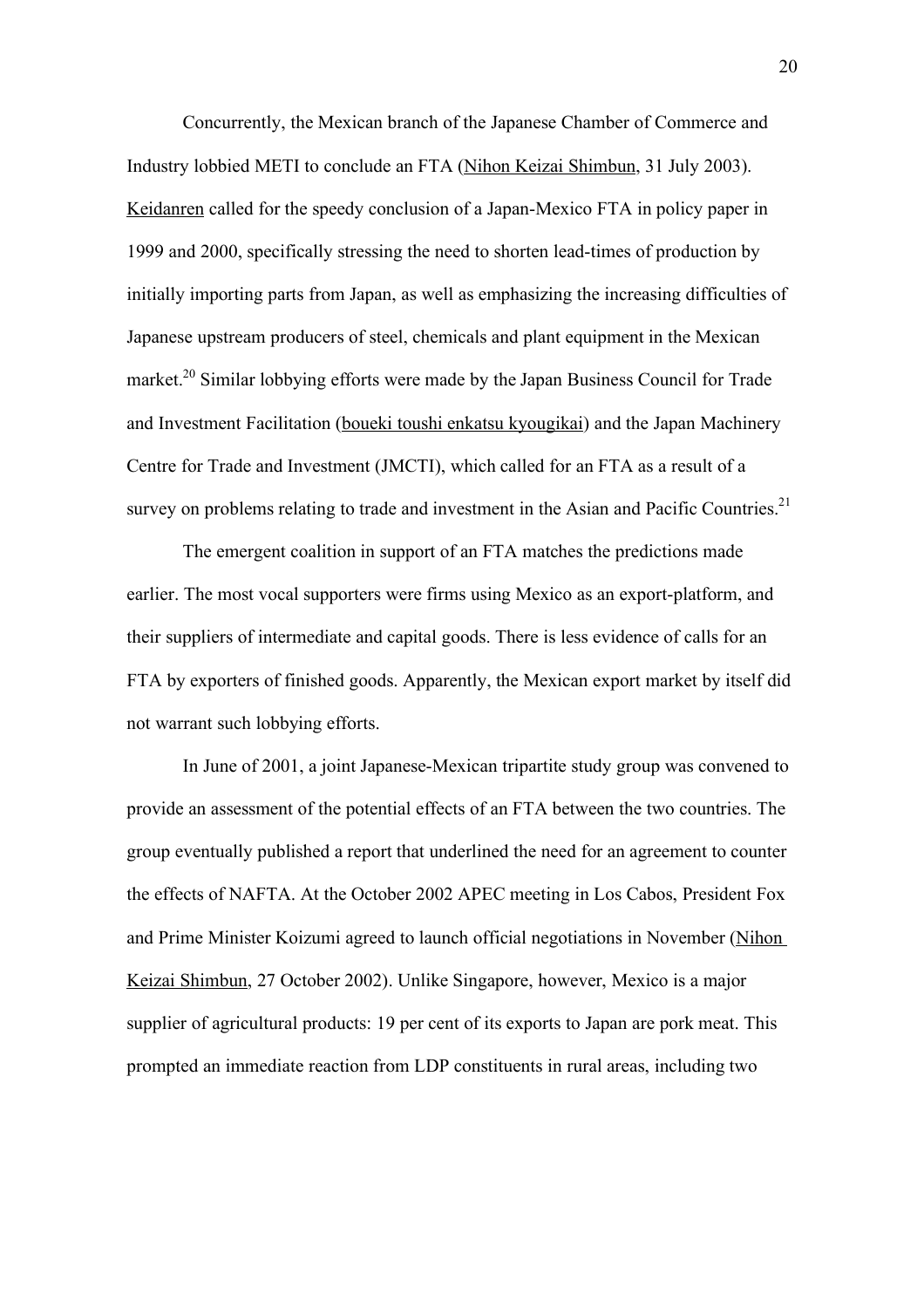Concurrently, the Mexican branch of the Japanese Chamber of Commerce and Industry lobbied METI to conclude an FTA (Nihon Keizai Shimbun, 31 July 2003). Keidanren called for the speedy conclusion of a Japan-Mexico FTA in policy paper in 1999 and 2000, specifically stressing the need to shorten lead-times of production by initially importing parts from Japan, as well as emphasizing the increasing difficulties of Japanese upstream producers of steel, chemicals and plant equipment in the Mexican market.<sup>20</sup> Similar lobbying efforts were made by the Japan Business Council for Trade and Investment Facilitation (boueki toushi enkatsu kyougikai) and the Japan Machinery Centre for Trade and Investment (JMCTI), which called for an FTA as a result of a survey on problems relating to trade and investment in the Asian and Pacific Countries.<sup>21</sup>

The emergent coalition in support of an FTA matches the predictions made earlier. The most vocal supporters were firms using Mexico as an export-platform, and their suppliers of intermediate and capital goods. There is less evidence of calls for an FTA by exporters of finished goods. Apparently, the Mexican export market by itself did not warrant such lobbying efforts.

In June of 2001, a joint Japanese-Mexican tripartite study group was convened to provide an assessment of the potential effects of an FTA between the two countries. The group eventually published a report that underlined the need for an agreement to counter the effects of NAFTA. At the October 2002 APEC meeting in Los Cabos, President Fox and Prime Minister Koizumi agreed to launch official negotiations in November (Nihon Keizai Shimbun, 27 October 2002). Unlike Singapore, however, Mexico is a major supplier of agricultural products: 19 per cent of its exports to Japan are pork meat. This prompted an immediate reaction from LDP constituents in rural areas, including two

20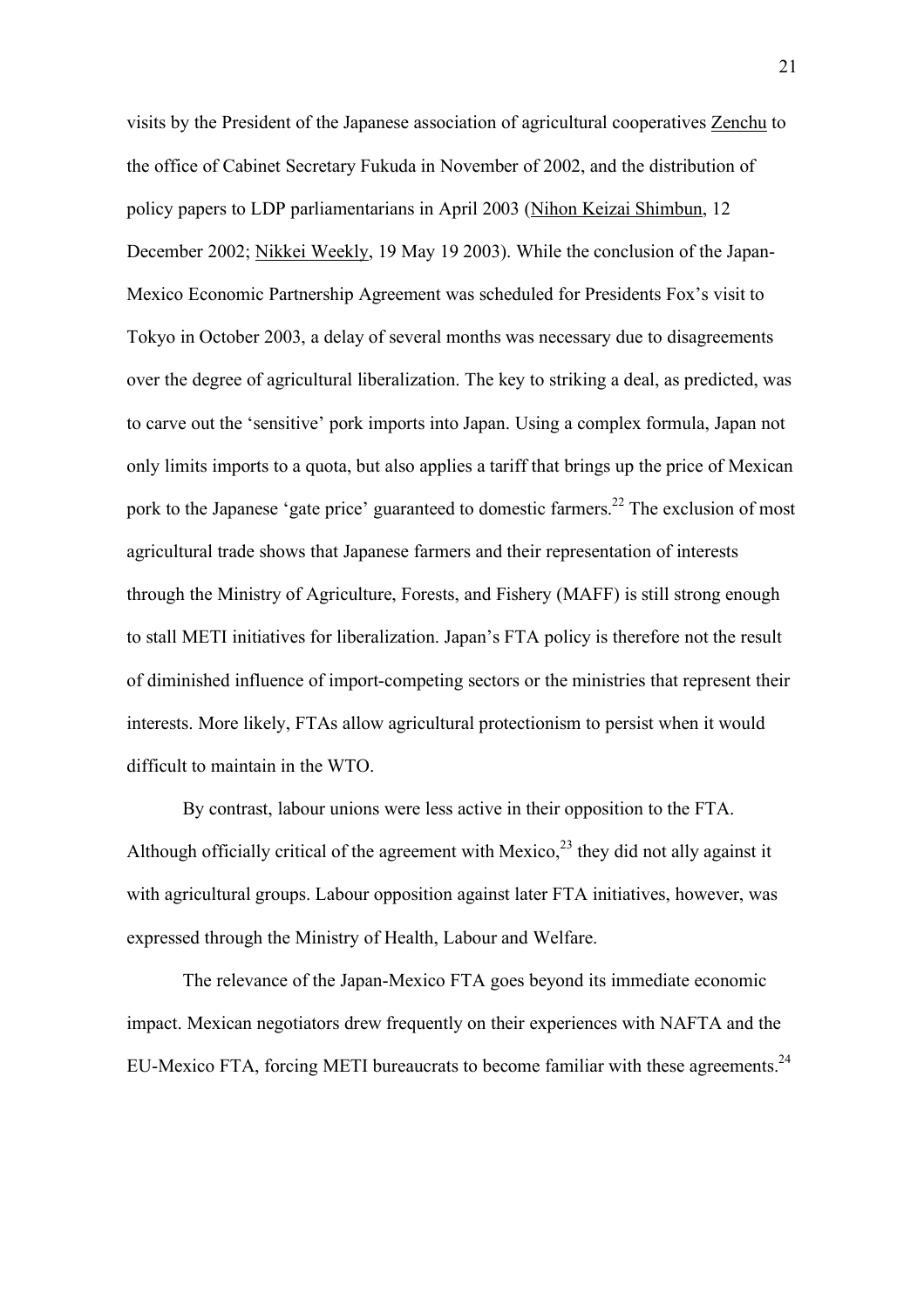visits by the President of the Japanese association of agricultural cooperatives Zenchu to the office of Cabinet Secretary Fukuda in November of 2002, and the distribution of policy papers to LDP parliamentarians in April 2003 (Nihon Keizai Shimbun, 12 December 2002; Nikkei Weekly, 19 May 19 2003). While the conclusion of the Japan-Mexico Economic Partnership Agreement was scheduled for Presidents Fox's visit to Tokyo in October 2003, a delay of several months was necessary due to disagreements over the degree of agricultural liberalization. The key to striking a deal, as predicted, was to carve out the 'sensitive' pork imports into Japan. Using a complex formula, Japan not only limits imports to a quota, but also applies a tariff that brings up the price of Mexican pork to the Japanese 'gate price' guaranteed to domestic farmers.<sup>22</sup> The exclusion of most agricultural trade shows that Japanese farmers and their representation of interests through the Ministry of Agriculture, Forests, and Fishery (MAFF) is still strong enough to stall METI initiatives for liberalization. Japan's FTA policy is therefore not the result of diminished influence of import-competing sectors or the ministries that represent their interests. More likely, FTAs allow agricultural protectionism to persist when it would difficult to maintain in the WTO.

By contrast, labour unions were less active in their opposition to the FTA. Although officially critical of the agreement with Mexico,<sup>23</sup> they did not ally against it with agricultural groups. Labour opposition against later FTA initiatives, however, was expressed through the Ministry of Health, Labour and Welfare.

The relevance of the Japan-Mexico FTA goes beyond its immediate economic impact. Mexican negotiators drew frequently on their experiences with NAFTA and the EU-Mexico FTA, forcing METI bureaucrats to become familiar with these agreements.<sup>24</sup>

21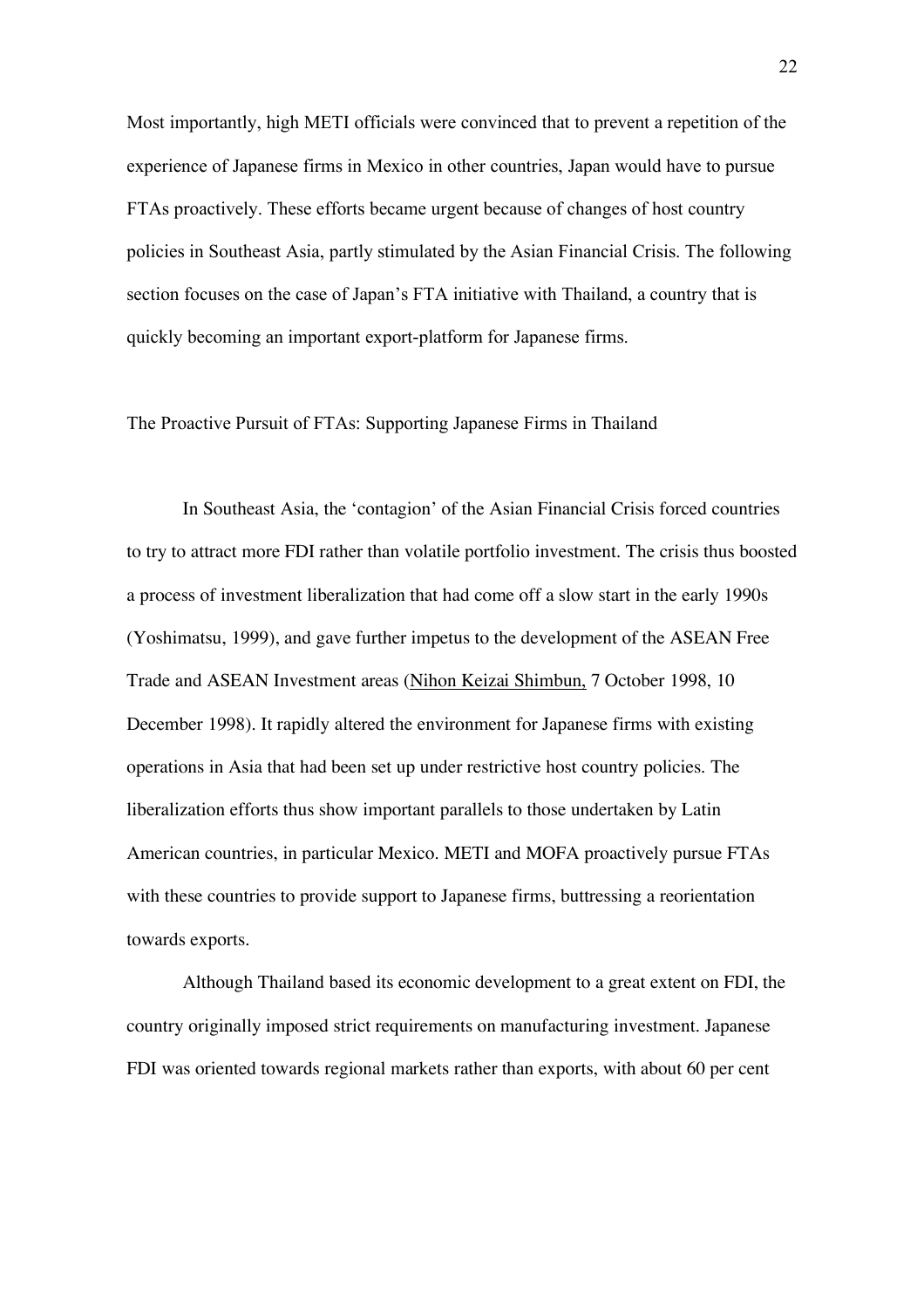Most importantly, high METI officials were convinced that to prevent a repetition of the experience of Japanese firms in Mexico in other countries, Japan would have to pursue FTAs proactively. These efforts became urgent because of changes of host country policies in Southeast Asia, partly stimulated by the Asian Financial Crisis. The following section focuses on the case of Japan's FTA initiative with Thailand, a country that is quickly becoming an important export-platform for Japanese firms.

The Proactive Pursuit of FTAs: Supporting Japanese Firms in Thailand

In Southeast Asia, the 'contagion' of the Asian Financial Crisis forced countries to try to attract more FDI rather than volatile portfolio investment. The crisis thus boosted a process of investment liberalization that had come off a slow start in the early 1990s (Yoshimatsu, 1999), and gave further impetus to the development of the ASEAN Free Trade and ASEAN Investment areas (Nihon Keizai Shimbun, 7 October 1998, 10 December 1998). It rapidly altered the environment for Japanese firms with existing operations in Asia that had been set up under restrictive host country policies. The liberalization efforts thus show important parallels to those undertaken by Latin American countries, in particular Mexico. METI and MOFA proactively pursue FTAs with these countries to provide support to Japanese firms, buttressing a reorientation towards exports.

Although Thailand based its economic development to a great extent on FDI, the country originally imposed strict requirements on manufacturing investment. Japanese FDI was oriented towards regional markets rather than exports, with about 60 per cent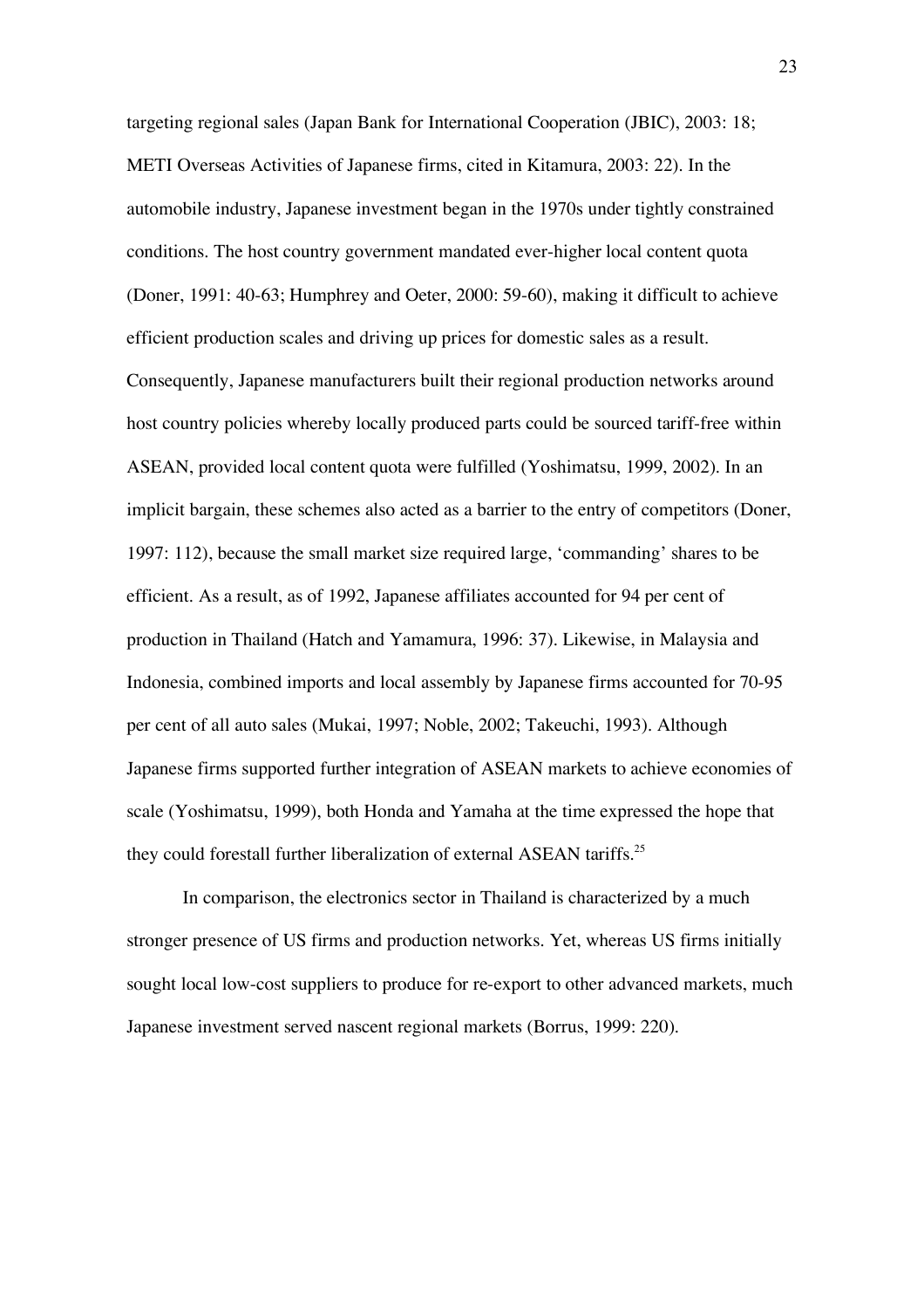targeting regional sales (Japan Bank for International Cooperation (JBIC), 2003: 18; METI Overseas Activities of Japanese firms, cited in Kitamura, 2003: 22). In the automobile industry, Japanese investment began in the 1970s under tightly constrained conditions. The host country government mandated ever-higher local content quota (Doner, 1991: 40-63; Humphrey and Oeter, 2000: 59-60), making it difficult to achieve efficient production scales and driving up prices for domestic sales as a result. Consequently, Japanese manufacturers built their regional production networks around host country policies whereby locally produced parts could be sourced tariff-free within ASEAN, provided local content quota were fulfilled (Yoshimatsu, 1999, 2002). In an implicit bargain, these schemes also acted as a barrier to the entry of competitors (Doner, 1997: 112), because the small market size required large, 'commanding' shares to be efficient. As a result, as of 1992, Japanese affiliates accounted for 94 per cent of production in Thailand (Hatch and Yamamura, 1996: 37). Likewise, in Malaysia and Indonesia, combined imports and local assembly by Japanese firms accounted for 70-95 per cent of all auto sales (Mukai, 1997; Noble, 2002; Takeuchi, 1993). Although Japanese firms supported further integration of ASEAN markets to achieve economies of scale (Yoshimatsu, 1999), both Honda and Yamaha at the time expressed the hope that they could forestall further liberalization of external ASEAN tariffs.<sup>25</sup>

In comparison, the electronics sector in Thailand is characterized by a much stronger presence of US firms and production networks. Yet, whereas US firms initially sought local low-cost suppliers to produce for re-export to other advanced markets, much Japanese investment served nascent regional markets (Borrus, 1999: 220).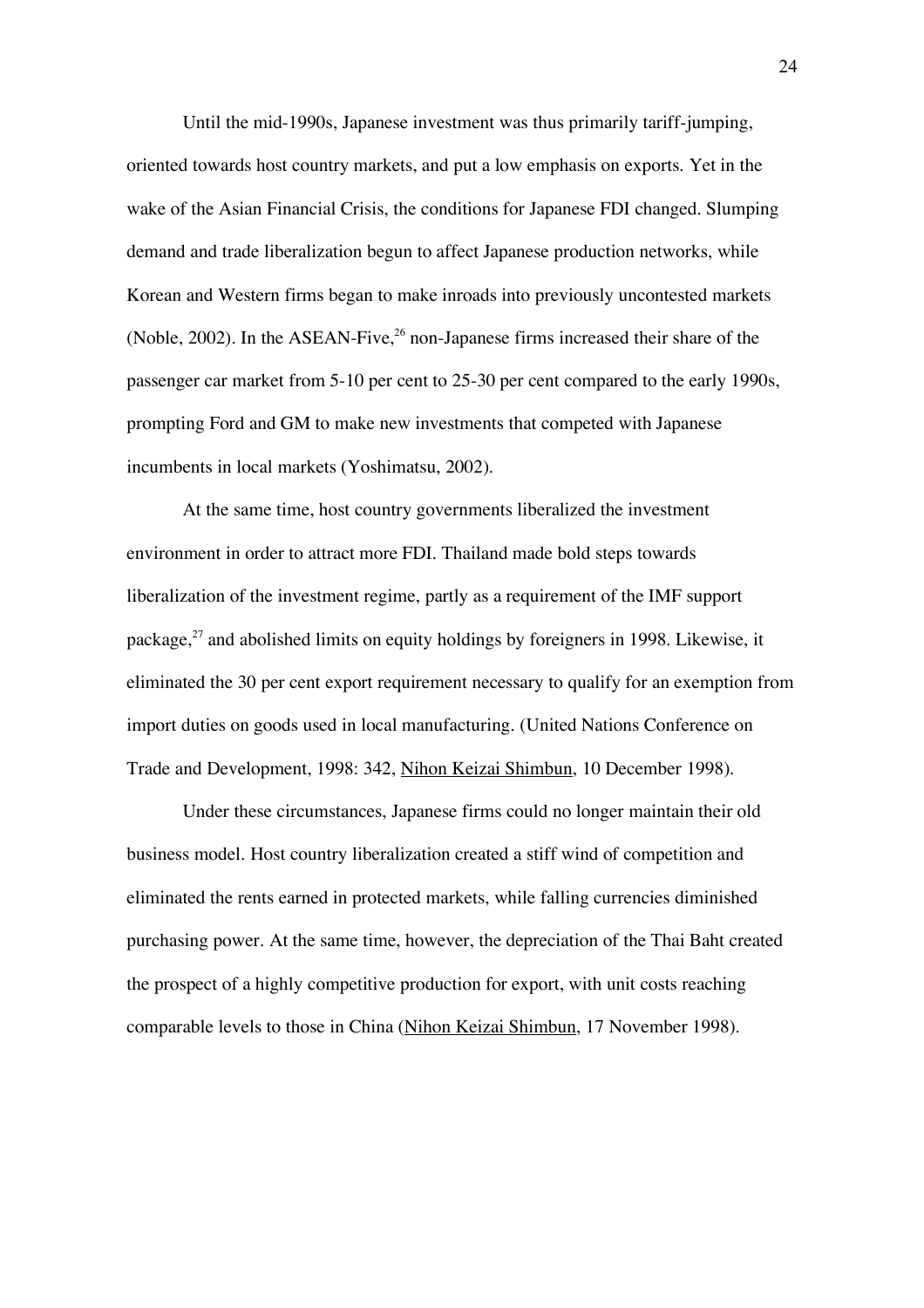Until the mid-1990s, Japanese investment was thus primarily tariff-jumping, oriented towards host country markets, and put a low emphasis on exports. Yet in the wake of the Asian Financial Crisis, the conditions for Japanese FDI changed. Slumping demand and trade liberalization begun to affect Japanese production networks, while Korean and Western firms began to make inroads into previously uncontested markets (Noble, 2002). In the ASEAN-Five,  $^{26}$  non-Japanese firms increased their share of the passenger car market from 5-10 per cent to 25-30 per cent compared to the early 1990s, prompting Ford and GM to make new investments that competed with Japanese incumbents in local markets (Yoshimatsu, 2002).

At the same time, host country governments liberalized the investment environment in order to attract more FDI. Thailand made bold steps towards liberalization of the investment regime, partly as a requirement of the IMF support package, $2^7$  and abolished limits on equity holdings by foreigners in 1998. Likewise, it eliminated the 30 per cent export requirement necessary to qualify for an exemption from import duties on goods used in local manufacturing. (United Nations Conference on Trade and Development, 1998: 342, Nihon Keizai Shimbun, 10 December 1998).

Under these circumstances, Japanese firms could no longer maintain their old business model. Host country liberalization created a stiff wind of competition and eliminated the rents earned in protected markets, while falling currencies diminished purchasing power. At the same time, however, the depreciation of the Thai Baht created the prospect of a highly competitive production for export, with unit costs reaching comparable levels to those in China (Nihon Keizai Shimbun, 17 November 1998).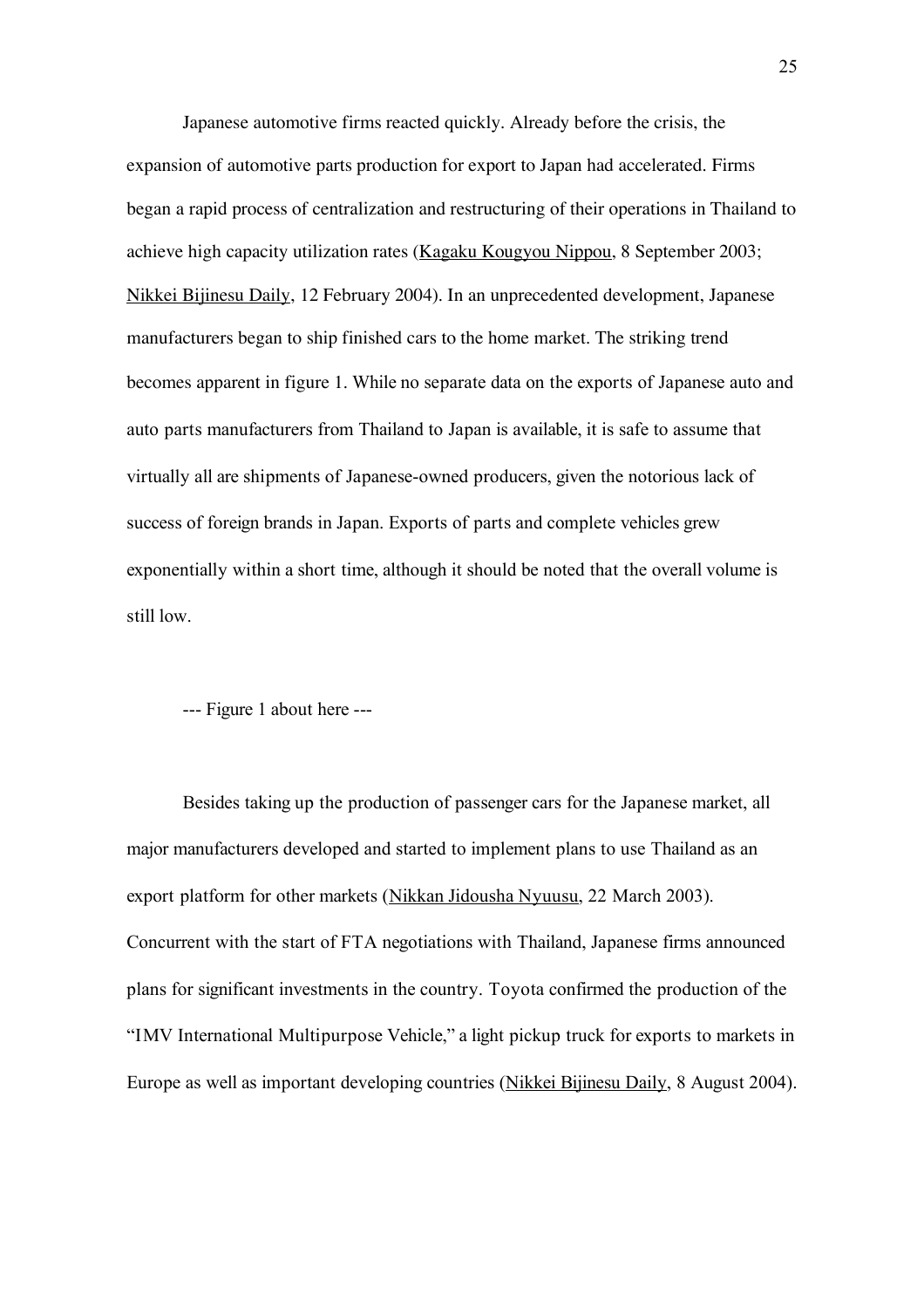Japanese automotive firms reacted quickly. Already before the crisis, the expansion of automotive parts production for export to Japan had accelerated. Firms began a rapid process of centralization and restructuring of their operations in Thailand to achieve high capacity utilization rates (Kagaku Kougyou Nippou, 8 September 2003; Nikkei Bijinesu Daily, 12 February 2004). In an unprecedented development, Japanese manufacturers began to ship finished cars to the home market. The striking trend becomes apparent in figure 1. While no separate data on the exports of Japanese auto and auto parts manufacturers from Thailand to Japan is available, it is safe to assume that virtually all are shipments of Japanese-owned producers, given the notorious lack of success of foreign brands in Japan. Exports of parts and complete vehicles grew exponentially within a short time, although it should be noted that the overall volume is still low.

--- Figure 1 about here ---

Besides taking up the production of passenger cars for the Japanese market, all major manufacturers developed and started to implement plans to use Thailand as an export platform for other markets (Nikkan Jidousha Nyuusu, 22 March 2003). Concurrent with the start of FTA negotiations with Thailand, Japanese firms announced plans for significant investments in the country. Toyota confirmed the production of the "IMV International Multipurpose Vehicle," a light pickup truck for exports to markets in Europe as well as important developing countries (Nikkei Bijinesu Daily, 8 August 2004).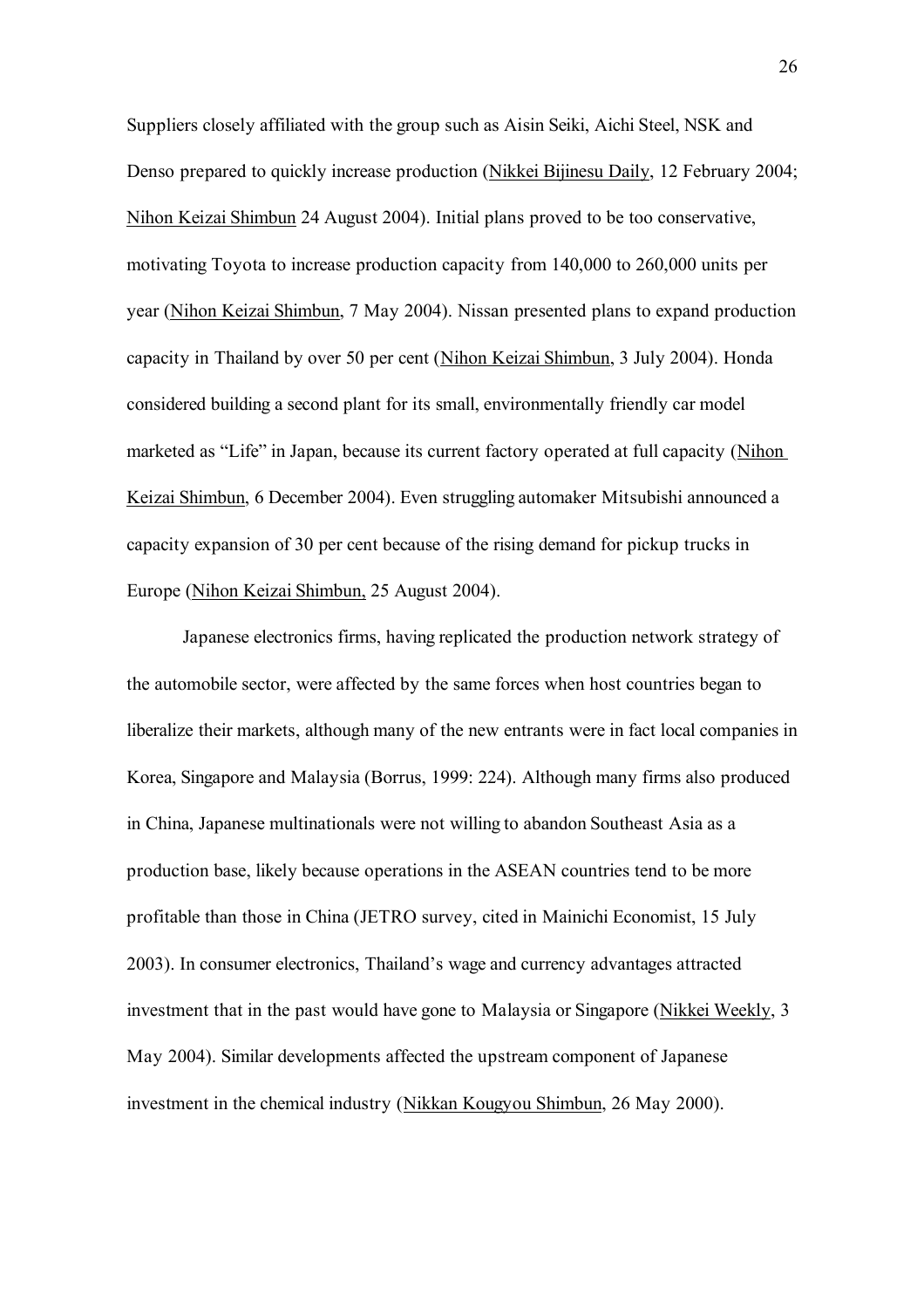Suppliers closely affiliated with the group such as Aisin Seiki, Aichi Steel, NSK and Denso prepared to quickly increase production (Nikkei Bijinesu Daily, 12 February 2004; Nihon Keizai Shimbun 24 August 2004). Initial plans proved to be too conservative, motivating Toyota to increase production capacity from 140,000 to 260,000 units per year (Nihon Keizai Shimbun, 7 May 2004). Nissan presented plans to expand production capacity in Thailand by over 50 per cent (Nihon Keizai Shimbun, 3 July 2004). Honda considered building a second plant for its small, environmentally friendly car model marketed as "Life" in Japan, because its current factory operated at full capacity (Nihon Keizai Shimbun, 6 December 2004). Even struggling automaker Mitsubishi announced a capacity expansion of 30 per cent because of the rising demand for pickup trucks in Europe (Nihon Keizai Shimbun, 25 August 2004).

Japanese electronics firms, having replicated the production network strategy of the automobile sector, were affected by the same forces when host countries began to liberalize their markets, although many of the new entrants were in fact local companies in Korea, Singapore and Malaysia (Borrus, 1999: 224). Although many firms also produced in China, Japanese multinationals were not willing to abandon Southeast Asia as a production base, likely because operations in the ASEAN countries tend to be more profitable than those in China (JETRO survey, cited in Mainichi Economist, 15 July 2003). In consumer electronics, Thailand's wage and currency advantages attracted investment that in the past would have gone to Malaysia or Singapore (Nikkei Weekly, 3 May 2004). Similar developments affected the upstream component of Japanese investment in the chemical industry (Nikkan Kougyou Shimbun, 26 May 2000).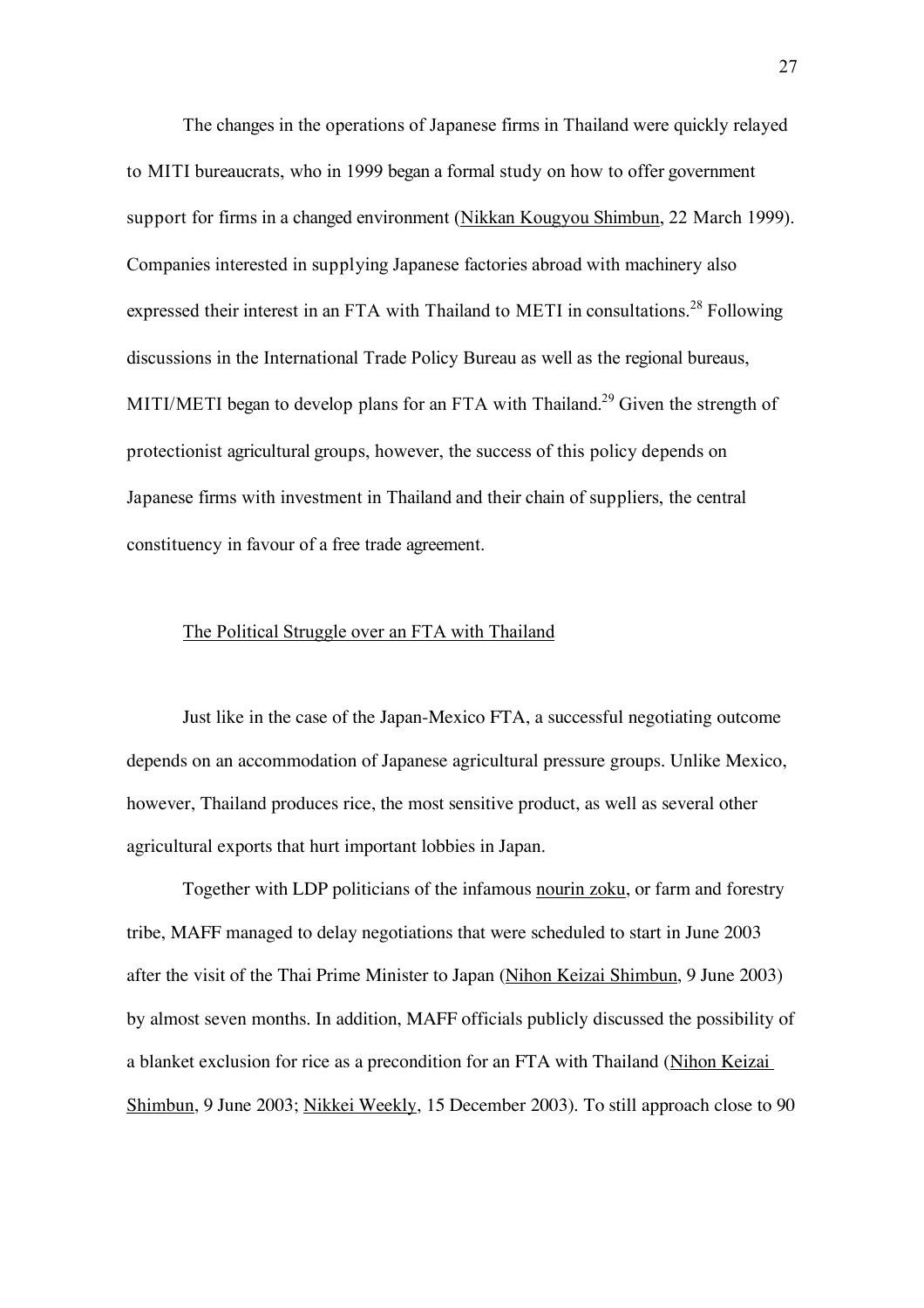The changes in the operations of Japanese firms in Thailand were quickly relayed to MITI bureaucrats, who in 1999 began a formal study on how to offer government support for firms in a changed environment (Nikkan Kougyou Shimbun, 22 March 1999). Companies interested in supplying Japanese factories abroad with machinery also expressed their interest in an FTA with Thailand to METI in consultations.<sup>28</sup> Following discussions in the International Trade Policy Bureau as well as the regional bureaus, MITI/METI began to develop plans for an FTA with Thailand.<sup>29</sup> Given the strength of protectionist agricultural groups, however, the success of this policy depends on Japanese firms with investment in Thailand and their chain of suppliers, the central constituency in favour of a free trade agreement.

#### The Political Struggle over an FTA with Thailand

Just like in the case of the Japan-Mexico FTA, a successful negotiating outcome depends on an accommodation of Japanese agricultural pressure groups. Unlike Mexico, however, Thailand produces rice, the most sensitive product, as well as several other agricultural exports that hurt important lobbies in Japan.

Together with LDP politicians of the infamous nourin zoku, or farm and forestry tribe, MAFF managed to delay negotiations that were scheduled to start in June 2003 after the visit of the Thai Prime Minister to Japan (Nihon Keizai Shimbun, 9 June 2003) by almost seven months. In addition, MAFF officials publicly discussed the possibility of a blanket exclusion for rice as a precondition for an FTA with Thailand (Nihon Keizai Shimbun, 9 June 2003; Nikkei Weekly, 15 December 2003). To still approach close to 90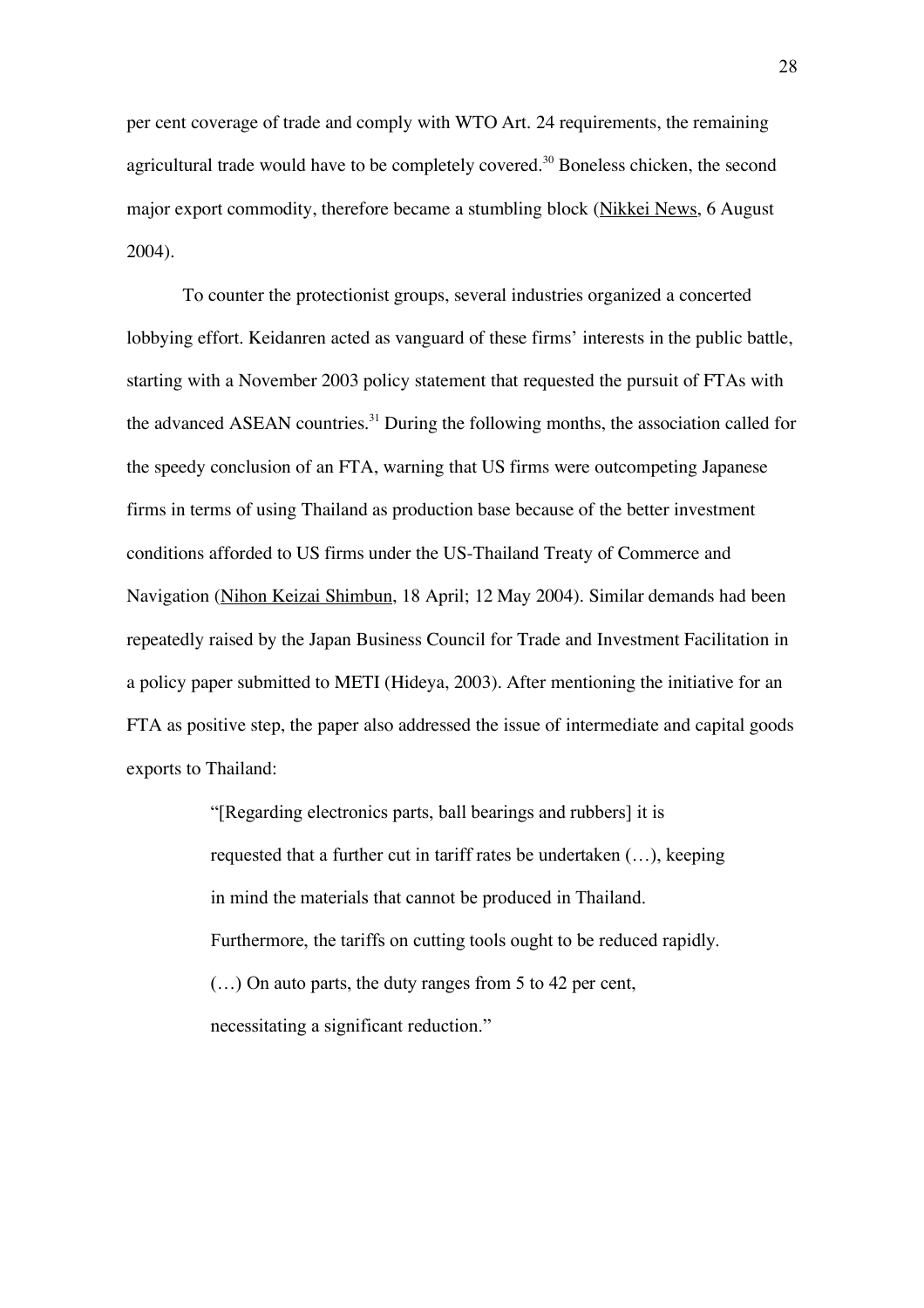per cent coverage of trade and comply with WTO Art. 24 requirements, the remaining agricultural trade would have to be completely covered.<sup>30</sup> Boneless chicken, the second major export commodity, therefore became a stumbling block (Nikkei News, 6 August 2004).

To counter the protectionist groups, several industries organized a concerted lobbying effort. Keidanren acted as vanguard of these firms' interests in the public battle, starting with a November 2003 policy statement that requested the pursuit of FTAs with the advanced ASEAN countries.<sup>31</sup> During the following months, the association called for the speedy conclusion of an FTA, warning that US firms were outcompeting Japanese firms in terms of using Thailand as production base because of the better investment conditions afforded to US firms under the US-Thailand Treaty of Commerce and Navigation (Nihon Keizai Shimbun, 18 April; 12 May 2004). Similar demands had been repeatedly raised by the Japan Business Council for Trade and Investment Facilitation in a policy paper submitted to METI (Hideya, 2003). After mentioning the initiative for an FTA as positive step, the paper also addressed the issue of intermediate and capital goods exports to Thailand:

> "[Regarding electronics parts, ball bearings and rubbers] it is requested that a further cut in tariff rates be undertaken (…), keeping in mind the materials that cannot be produced in Thailand. Furthermore, the tariffs on cutting tools ought to be reduced rapidly. (…) On auto parts, the duty ranges from 5 to 42 per cent, necessitating a significant reduction."

28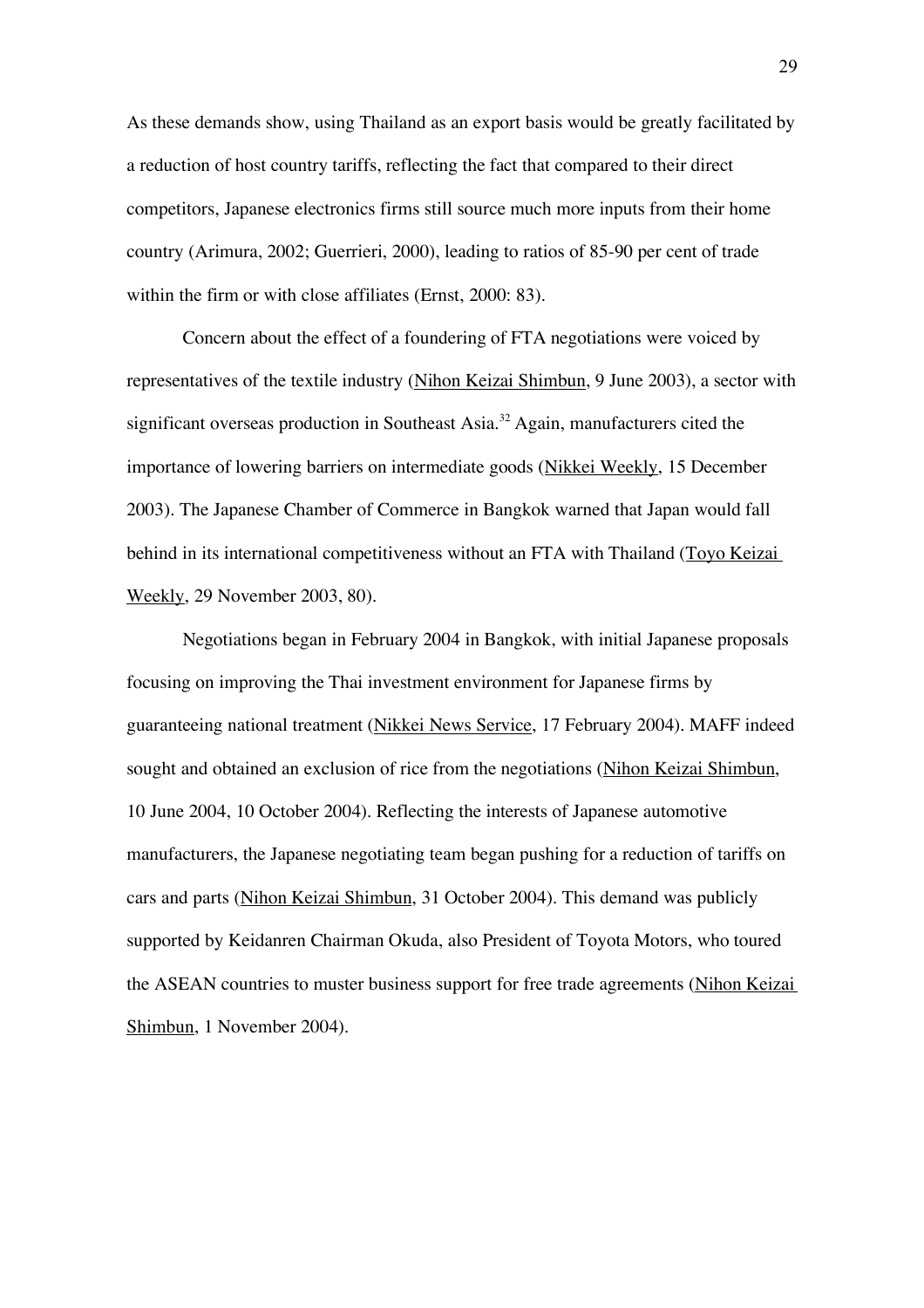As these demands show, using Thailand as an export basis would be greatly facilitated by a reduction of host country tariffs, reflecting the fact that compared to their direct competitors, Japanese electronics firms still source much more inputs from their home country (Arimura, 2002; Guerrieri, 2000), leading to ratios of 85-90 per cent of trade within the firm or with close affiliates (Ernst, 2000: 83).

Concern about the effect of a foundering of FTA negotiations were voiced by representatives of the textile industry (Nihon Keizai Shimbun, 9 June 2003), a sector with significant overseas production in Southeast Asia.<sup>32</sup> Again, manufacturers cited the importance of lowering barriers on intermediate goods (Nikkei Weekly, 15 December 2003). The Japanese Chamber of Commerce in Bangkok warned that Japan would fall behind in its international competitiveness without an FTA with Thailand (Toyo Keizai Weekly, 29 November 2003, 80).

Negotiations began in February 2004 in Bangkok, with initial Japanese proposals focusing on improving the Thai investment environment for Japanese firms by guaranteeing national treatment (Nikkei News Service, 17 February 2004). MAFF indeed sought and obtained an exclusion of rice from the negotiations (Nihon Keizai Shimbun, 10 June 2004, 10 October 2004). Reflecting the interests of Japanese automotive manufacturers, the Japanese negotiating team began pushing for a reduction of tariffs on cars and parts (Nihon Keizai Shimbun, 31 October 2004). This demand was publicly supported by Keidanren Chairman Okuda, also President of Toyota Motors, who toured the ASEAN countries to muster business support for free trade agreements (Nihon Keizai Shimbun, 1 November 2004).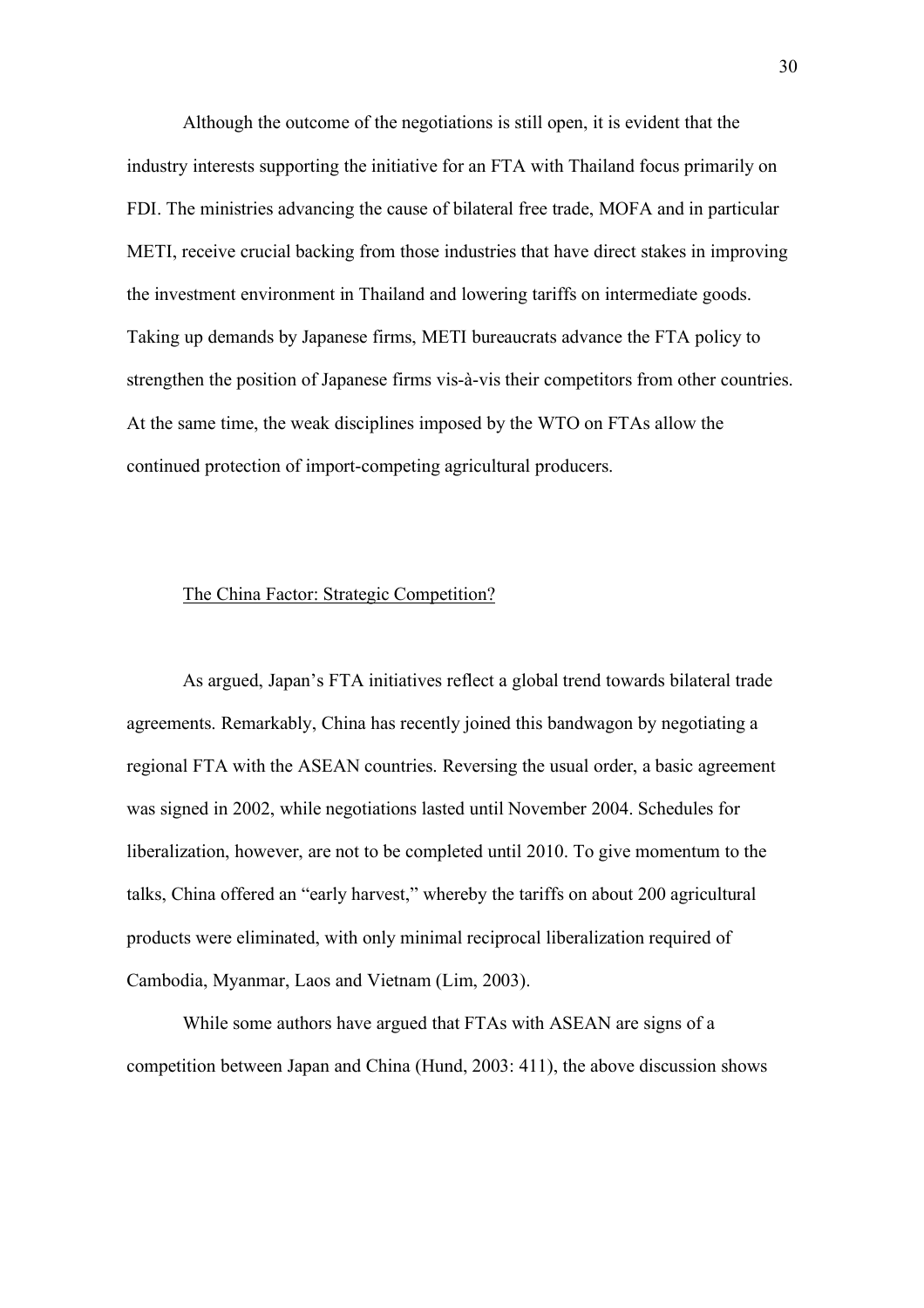Although the outcome of the negotiations is still open, it is evident that the industry interests supporting the initiative for an FTA with Thailand focus primarily on FDI. The ministries advancing the cause of bilateral free trade, MOFA and in particular METI, receive crucial backing from those industries that have direct stakes in improving the investment environment in Thailand and lowering tariffs on intermediate goods. Taking up demands by Japanese firms, METI bureaucrats advance the FTA policy to strengthen the position of Japanese firms vis-à-vis their competitors from other countries. At the same time, the weak disciplines imposed by the WTO on FTAs allow the continued protection of import-competing agricultural producers.

## The China Factor: Strategic Competition?

As argued, Japan's FTA initiatives reflect a global trend towards bilateral trade agreements. Remarkably, China has recently joined this bandwagon by negotiating a regional FTA with the ASEAN countries. Reversing the usual order, a basic agreement was signed in 2002, while negotiations lasted until November 2004. Schedules for liberalization, however, are not to be completed until 2010. To give momentum to the talks, China offered an "early harvest," whereby the tariffs on about 200 agricultural products were eliminated, with only minimal reciprocal liberalization required of Cambodia, Myanmar, Laos and Vietnam (Lim, 2003).

While some authors have argued that FTAs with ASEAN are signs of a competition between Japan and China (Hund, 2003: 411), the above discussion shows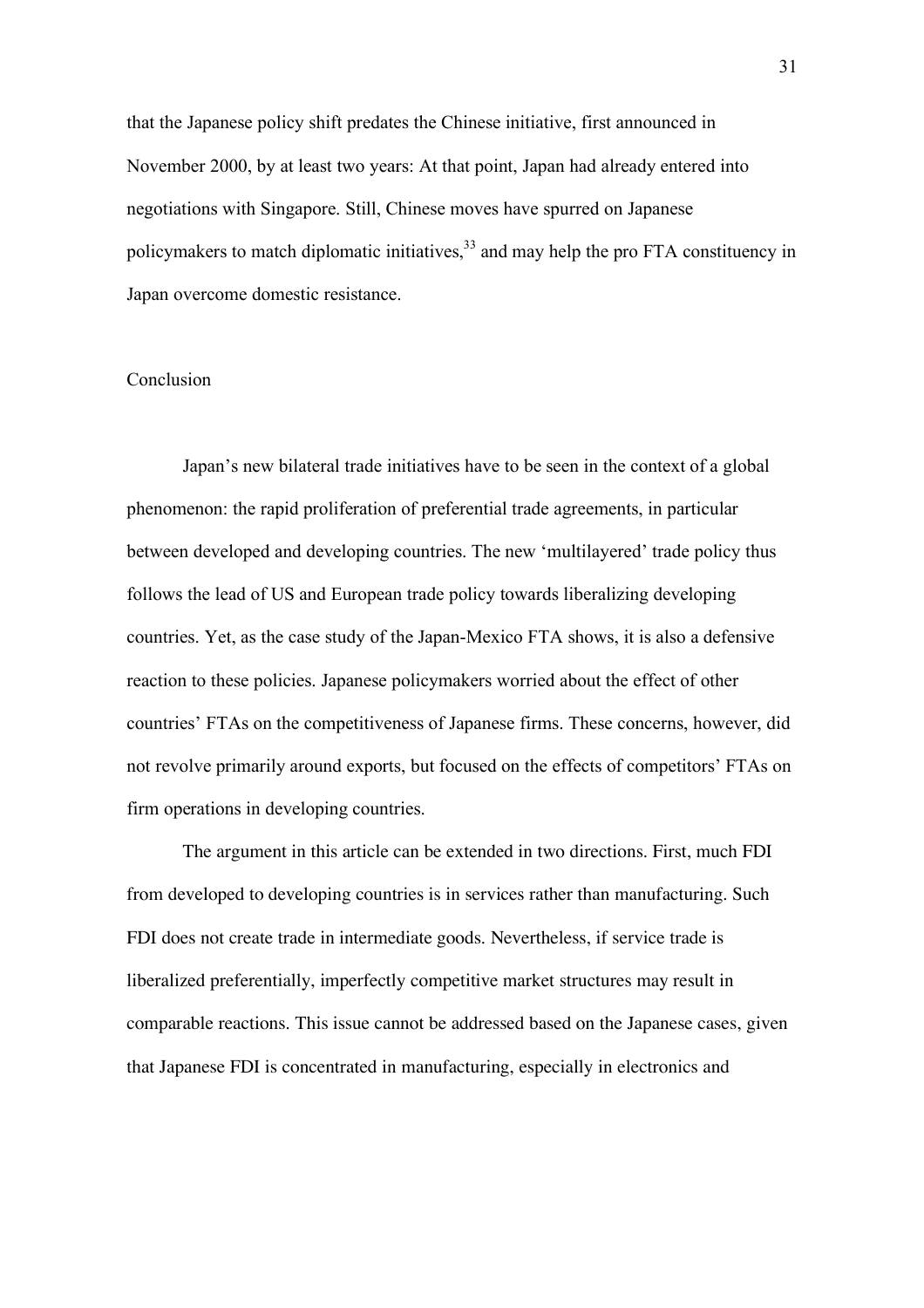that the Japanese policy shift predates the Chinese initiative, first announced in November 2000, by at least two years: At that point, Japan had already entered into negotiations with Singapore. Still, Chinese moves have spurred on Japanese policymakers to match diplomatic initiatives,<sup>33</sup> and may help the pro FTA constituency in Japan overcome domestic resistance.

### Conclusion

Japan's new bilateral trade initiatives have to be seen in the context of a global phenomenon: the rapid proliferation of preferential trade agreements, in particular between developed and developing countries. The new 'multilayered' trade policy thus follows the lead of US and European trade policy towards liberalizing developing countries. Yet, as the case study of the Japan-Mexico FTA shows, it is also a defensive reaction to these policies. Japanese policymakers worried about the effect of other countries' FTAs on the competitiveness of Japanese firms. These concerns, however, did not revolve primarily around exports, but focused on the effects of competitors' FTAs on firm operations in developing countries.

The argument in this article can be extended in two directions. First, much FDI from developed to developing countries is in services rather than manufacturing. Such FDI does not create trade in intermediate goods. Nevertheless, if service trade is liberalized preferentially, imperfectly competitive market structures may result in comparable reactions. This issue cannot be addressed based on the Japanese cases, given that Japanese FDI is concentrated in manufacturing, especially in electronics and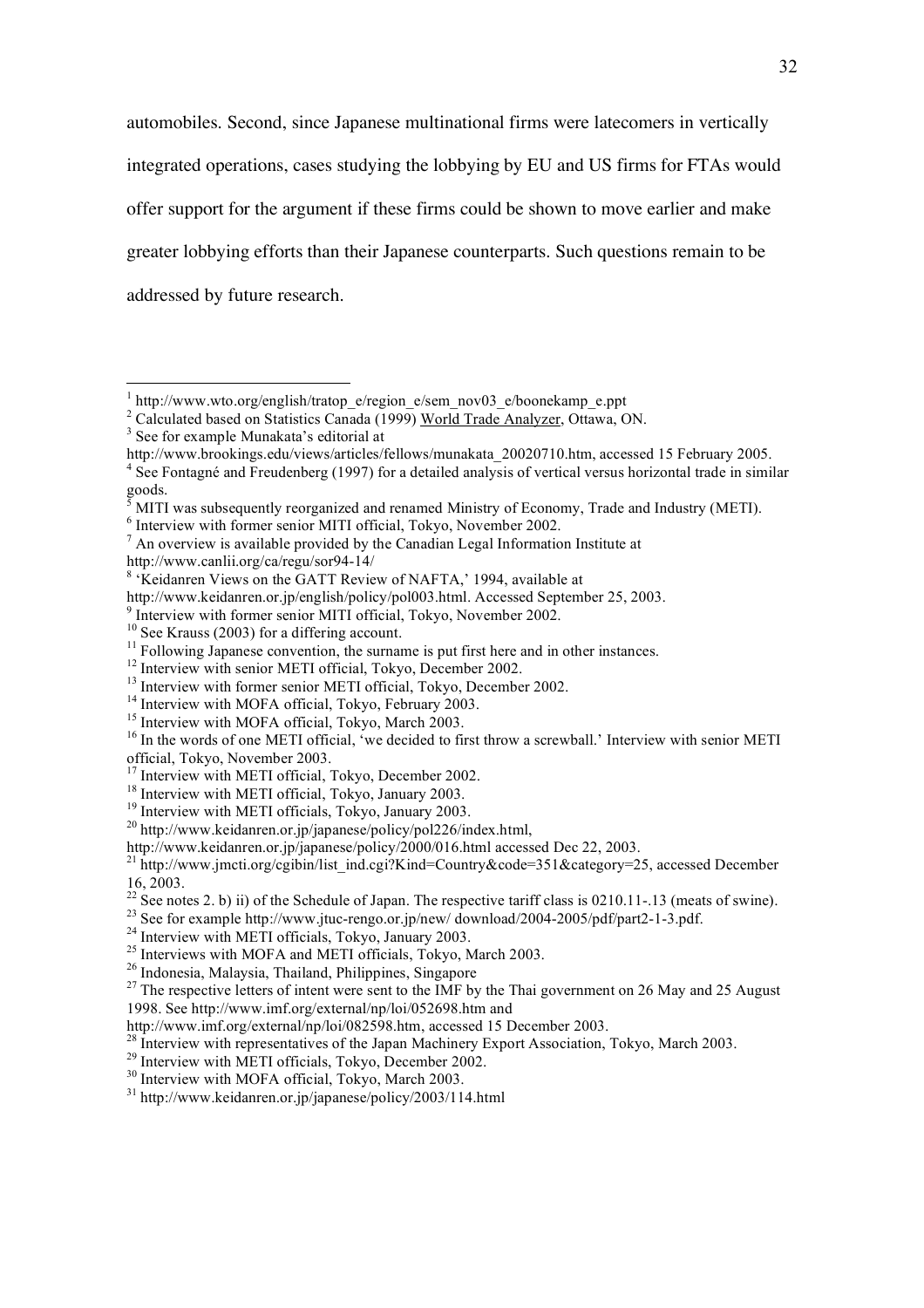automobiles. Second, since Japanese multinational firms were latecomers in vertically integrated operations, cases studying the lobbying by EU and US firms for FTAs would offer support for the argument if these firms could be shown to move earlier and make greater lobbying efforts than their Japanese counterparts. Such questions remain to be addressed by future research.

 $<sup>7</sup>$  An overview is available provided by the Canadian Legal Information Institute at</sup>

http://www.canlii.org/ca/regu/sor94-14/ <sup>8</sup>

 $15$  Interview with MOFA official, Tokyo, March 2003.

 $^{27}$  The respective letters of intent were sent to the IMF by the Thai government on 26 May and 25 August 1998. See http://www.imf.org/external/np/loi/052698.htm and

<sup>30</sup> Interview with MOFA official, Tokyo, March 2003.

<sup>|&</sup>lt;br>|<br>|  $h$  http://www.wto.org/english/tratop\_e/region\_e/sem\_nov03\_e/boonekamp\_e.ppt

<sup>&</sup>lt;sup>2</sup> Calculated based on Statistics Canada (1999) <u>World Trade Analyzer</u>, Ottawa, ON.

<sup>&</sup>lt;sup>3</sup> See for example Munakata's editorial at

http://www.brookings.edu/views/articles/fellows/munakata\_20020710.htm, accessed 15 February 2005.

<sup>&</sup>lt;sup>4</sup> See Fontagné and Freudenberg (1997) for a detailed analysis of vertical versus horizontal trade in similar goods. 5

MITI was subsequently reorganized and renamed Ministry of Economy, Trade and Industry (METI).

 $6$  Interview with former senior MITI official, Tokyo, November 2002.

<sup>&</sup>lt;sup>8</sup> 'Keidanren Views on the GATT Review of NAFTA,' 1994, available at

http://www.keidanren.or.jp/english/policy/pol003.html. Accessed September 25, 2003.

<sup>&</sup>lt;sup>9</sup> Interview with former senior MITI official, Tokyo, November 2002.

<sup>&</sup>lt;sup>10</sup> See Krauss (2003) for a differing account.<br><sup>11</sup> Following Japanese convention, the surname is put first here and in other instances.

<sup>&</sup>lt;sup>12</sup> Interview with senior METI official, Tokyo, December 2002.

 $13$  Interview with former senior METI official, Tokyo, December 2002.<br> $14$  Interview with MOFA official, Tokyo, February 2003.

<sup>&</sup>lt;sup>16</sup> In the words of one METI official, 'we decided to first throw a screwball.' Interview with senior METI official, Tokyo, November 2003.<br><sup>17</sup> Interview with METI official. Tokyo. December 2002.

<sup>&</sup>lt;sup>18</sup> Interview with METI official, Tokyo, January 2003.

<sup>&</sup>lt;sup>19</sup> Interview with METI officials, Tokyo, January 2003.

<sup>20</sup> http://www.keidanren.or.jp/japanese/policy/pol226/index.html,

http://www.keidanren.or.jp/japanese/policy/2000/016.html accessed Dec 22, 2003.<br><sup>21</sup> http://www.jmcti.org/cgibin/list\_ind.cgi?Kind=Country&code=351&category=25, accessed December 16, 2003.

<sup>&</sup>lt;sup>22</sup> See notes 2. b) ii) of the Schedule of Japan. The respective tariff class is 0210.11-.13 (meats of swine).<br><sup>23</sup> See for example http://www.jtuc-rengo.or.jp/new/ download/2004-2005/pdf/part2-1-3.pdf.<br><sup>24</sup> Interview wi

 $^{25}$  Interviews with MOFA and METI officials, Tokyo, March 2003.

<sup>26</sup> Indonesia, Malaysia, Thailand, Philippines, Singapore

http://www.imf.org/external/np/loi/082598.htm, accessed 15 December 2003.

<sup>&</sup>lt;sup>28</sup> Interview with representatives of the Japan Machinery Export Association, Tokyo, March 2003.<br><sup>29</sup> Interview with METI officials, Tokyo, December 2002.

<sup>31</sup> http://www.keidanren.or.jp/japanese/policy/2003/114.html